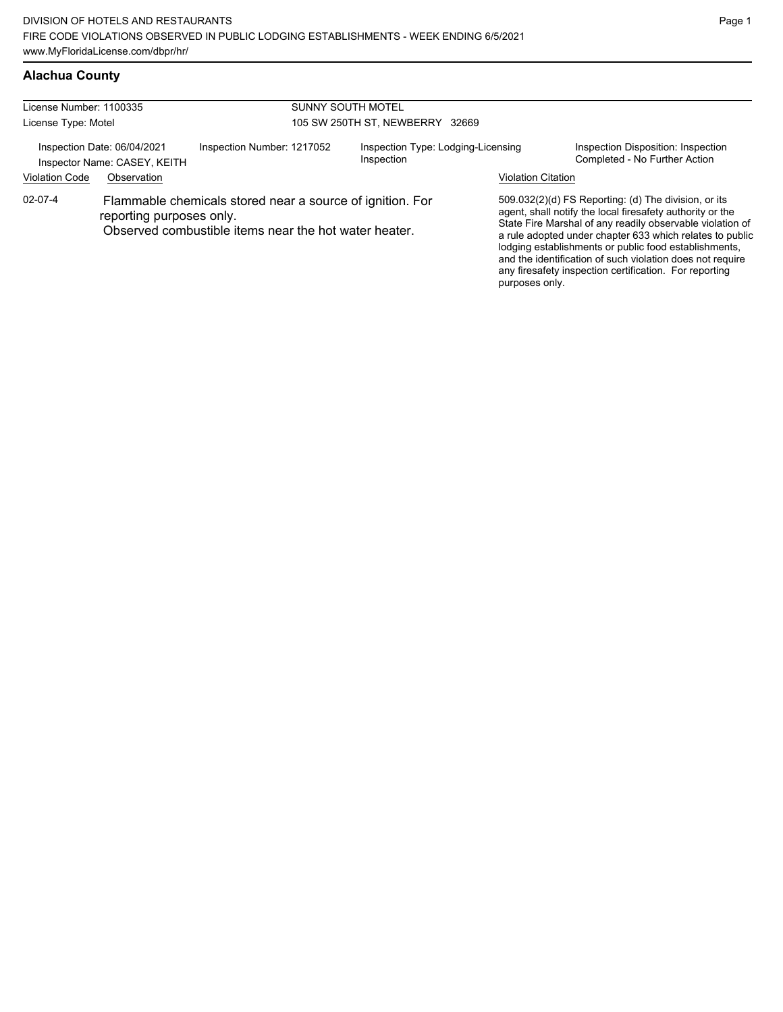| License Number: 1100335<br>License Type: Motel                                                      |                                                                                                                                                |                            | <b>SUNNY SOUTH MOTEL</b><br>105 SW 250TH ST, NEWBERRY 32669 |                                                                               |                                                                                                                                                                                                                                                                                                                                                                                                                            |                                                                     |
|-----------------------------------------------------------------------------------------------------|------------------------------------------------------------------------------------------------------------------------------------------------|----------------------------|-------------------------------------------------------------|-------------------------------------------------------------------------------|----------------------------------------------------------------------------------------------------------------------------------------------------------------------------------------------------------------------------------------------------------------------------------------------------------------------------------------------------------------------------------------------------------------------------|---------------------------------------------------------------------|
| Inspection Date: 06/04/2021<br>Inspector Name: CASEY, KEITH<br><b>Violation Code</b><br>Observation |                                                                                                                                                | Inspection Number: 1217052 |                                                             | Inspection Type: Lodging-Licensing<br>Inspection<br><b>Violation Citation</b> |                                                                                                                                                                                                                                                                                                                                                                                                                            | Inspection Disposition: Inspection<br>Completed - No Further Action |
| $02 - 07 - 4$                                                                                       | Flammable chemicals stored near a source of ignition. For<br>reporting purposes only.<br>Observed combustible items near the hot water heater. |                            |                                                             | purposes only.                                                                | 509.032(2)(d) FS Reporting: (d) The division, or its<br>agent, shall notify the local firesafety authority or the<br>State Fire Marshal of any readily observable violation of<br>a rule adopted under chapter 633 which relates to public<br>lodging establishments or public food establishments,<br>and the identification of such violation does not require<br>any firesafety inspection certification. For reporting |                                                                     |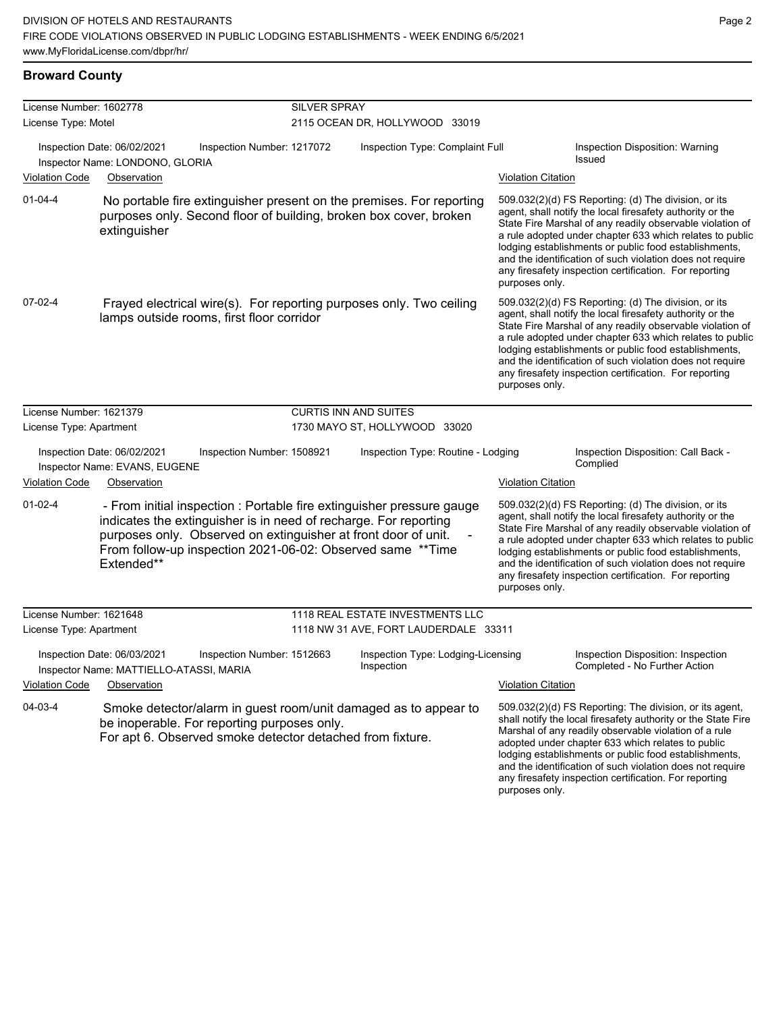#### **Broward County**

| License Number: 1602778 |                                                                                                                                                                                                                                                                                          | <b>SILVER SPRAY</b>        |                                                  |                           |                                                                                                                                                                                                                                                                                                                                                                                                                            |
|-------------------------|------------------------------------------------------------------------------------------------------------------------------------------------------------------------------------------------------------------------------------------------------------------------------------------|----------------------------|--------------------------------------------------|---------------------------|----------------------------------------------------------------------------------------------------------------------------------------------------------------------------------------------------------------------------------------------------------------------------------------------------------------------------------------------------------------------------------------------------------------------------|
| License Type: Motel     |                                                                                                                                                                                                                                                                                          |                            | 2115 OCEAN DR, HOLLYWOOD 33019                   |                           |                                                                                                                                                                                                                                                                                                                                                                                                                            |
|                         | Inspection Date: 06/02/2021<br>Inspector Name: LONDONO, GLORIA                                                                                                                                                                                                                           | Inspection Number: 1217072 | Inspection Type: Complaint Full                  |                           | Inspection Disposition: Warning<br><b>Issued</b>                                                                                                                                                                                                                                                                                                                                                                           |
| <b>Violation Code</b>   | Observation                                                                                                                                                                                                                                                                              |                            |                                                  | <b>Violation Citation</b> |                                                                                                                                                                                                                                                                                                                                                                                                                            |
| $01 - 04 - 4$           | No portable fire extinguisher present on the premises. For reporting<br>purposes only. Second floor of building, broken box cover, broken<br>extinguisher                                                                                                                                |                            |                                                  | purposes only.            | 509.032(2)(d) FS Reporting: (d) The division, or its<br>agent, shall notify the local firesafety authority or the<br>State Fire Marshal of any readily observable violation of<br>a rule adopted under chapter 633 which relates to public<br>lodging establishments or public food establishments,<br>and the identification of such violation does not require<br>any firesafety inspection certification. For reporting |
| 07-02-4                 | Frayed electrical wire(s). For reporting purposes only. Two ceiling<br>lamps outside rooms, first floor corridor                                                                                                                                                                         |                            |                                                  | purposes only.            | 509.032(2)(d) FS Reporting: (d) The division, or its<br>agent, shall notify the local firesafety authority or the<br>State Fire Marshal of any readily observable violation of<br>a rule adopted under chapter 633 which relates to public<br>lodging establishments or public food establishments,<br>and the identification of such violation does not require<br>any firesafety inspection certification. For reporting |
| License Number: 1621379 |                                                                                                                                                                                                                                                                                          |                            | <b>CURTIS INN AND SUITES</b>                     |                           |                                                                                                                                                                                                                                                                                                                                                                                                                            |
| License Type: Apartment |                                                                                                                                                                                                                                                                                          |                            | 1730 MAYO ST, HOLLYWOOD 33020                    |                           |                                                                                                                                                                                                                                                                                                                                                                                                                            |
|                         | Inspection Date: 06/02/2021<br>Inspector Name: EVANS, EUGENE                                                                                                                                                                                                                             | Inspection Number: 1508921 | Inspection Type: Routine - Lodging               |                           | Inspection Disposition: Call Back -<br>Complied                                                                                                                                                                                                                                                                                                                                                                            |
| <b>Violation Code</b>   | Observation                                                                                                                                                                                                                                                                              |                            |                                                  | <b>Violation Citation</b> |                                                                                                                                                                                                                                                                                                                                                                                                                            |
| $01-02-4$               | - From initial inspection : Portable fire extinguisher pressure gauge<br>indicates the extinguisher is in need of recharge. For reporting<br>purposes only. Observed on extinguisher at front door of unit.<br>From follow-up inspection 2021-06-02: Observed same ** Time<br>Extended** |                            |                                                  | purposes only.            | 509.032(2)(d) FS Reporting: (d) The division, or its<br>agent, shall notify the local firesafety authority or the<br>State Fire Marshal of any readily observable violation of<br>a rule adopted under chapter 633 which relates to public<br>lodging establishments or public food establishments,<br>and the identification of such violation does not require<br>any firesafety inspection certification. For reporting |
| License Number: 1621648 |                                                                                                                                                                                                                                                                                          |                            | 1118 REAL ESTATE INVESTMENTS LLC                 |                           |                                                                                                                                                                                                                                                                                                                                                                                                                            |
| License Type: Apartment |                                                                                                                                                                                                                                                                                          |                            | 1118 NW 31 AVE, FORT LAUDERDALE 33311            |                           |                                                                                                                                                                                                                                                                                                                                                                                                                            |
|                         | Inspection Date: 06/03/2021<br>Inspector Name: MATTIELLO-ATASSI, MARIA                                                                                                                                                                                                                   | Inspection Number: 1512663 | Inspection Type: Lodging-Licensing<br>Inspection |                           | Inspection Disposition: Inspection<br>Completed - No Further Action                                                                                                                                                                                                                                                                                                                                                        |
| <b>Violation Code</b>   | Observation                                                                                                                                                                                                                                                                              |                            |                                                  | <b>Violation Citation</b> |                                                                                                                                                                                                                                                                                                                                                                                                                            |
| 04-03-4                 | Smoke detector/alarm in guest room/unit damaged as to appear to<br>be inoperable. For reporting purposes only.<br>For apt 6. Observed smoke detector detached from fixture.                                                                                                              |                            |                                                  |                           | 509.032(2)(d) FS Reporting: The division, or its agent,<br>shall notify the local firesafety authority or the State Fire<br>Marshal of any readily observable violation of a rule<br>adopted under chapter 633 which relates to public<br>lodging establishments or public food establishments,<br>and the identification of such violation does not require<br>any firesafety inspection certification. For reporting     |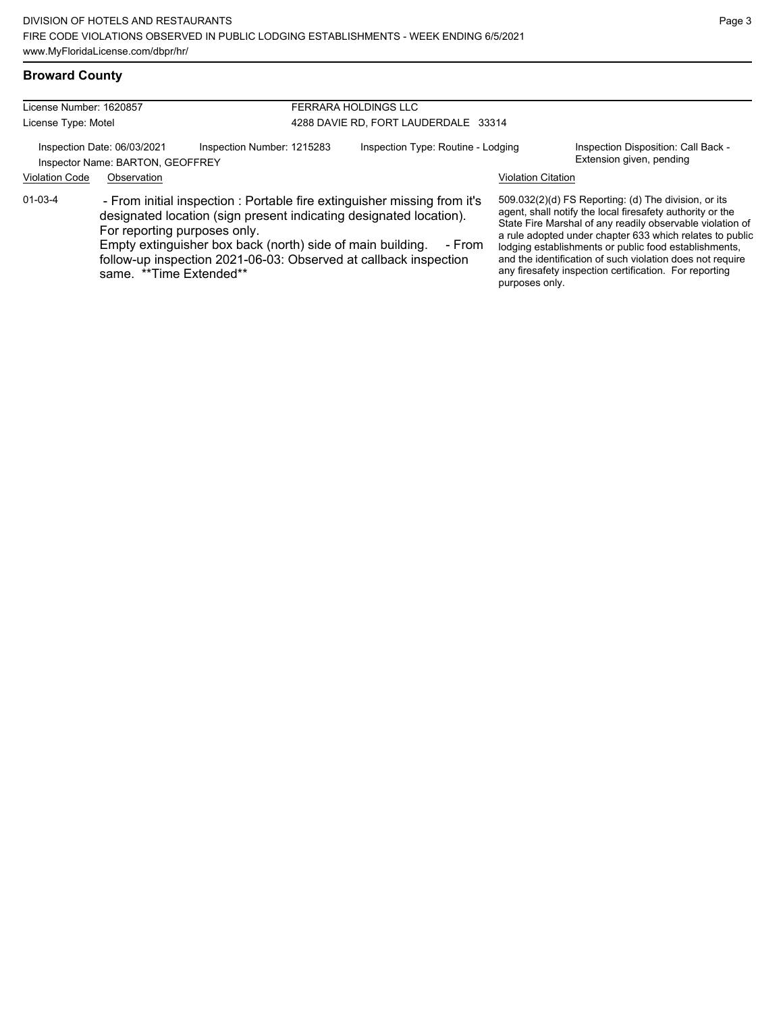#### **Broward County**

| License Number: 1620857<br>License Type: Motel                                                                                                                                                                                                                                                                                                         |                                                                                                              | FERRARA HOLDINGS LLC<br>4288 DAVIE RD, FORT LAUDERDALE 33314 |                           |                                                                                                                                                                                                                                                                                                                                                                                                                            |  |
|--------------------------------------------------------------------------------------------------------------------------------------------------------------------------------------------------------------------------------------------------------------------------------------------------------------------------------------------------------|--------------------------------------------------------------------------------------------------------------|--------------------------------------------------------------|---------------------------|----------------------------------------------------------------------------------------------------------------------------------------------------------------------------------------------------------------------------------------------------------------------------------------------------------------------------------------------------------------------------------------------------------------------------|--|
| <b>Violation Code</b>                                                                                                                                                                                                                                                                                                                                  | Inspection Date: 06/03/2021<br>Inspection Number: 1215283<br>Inspector Name: BARTON, GEOFFREY<br>Observation | Inspection Type: Routine - Lodging                           | <b>Violation Citation</b> | Inspection Disposition: Call Back -<br>Extension given, pending                                                                                                                                                                                                                                                                                                                                                            |  |
| 01-03-4<br>- From initial inspection : Portable fire extinguisher missing from it's<br>designated location (sign present indicating designated location).<br>For reporting purposes only.<br>Empty extinguisher box back (north) side of main building.<br>follow-up inspection 2021-06-03: Observed at callback inspection<br>same. **Time Extended** |                                                                                                              | - From                                                       | purposes only.            | 509.032(2)(d) FS Reporting: (d) The division, or its<br>agent, shall notify the local firesafety authority or the<br>State Fire Marshal of any readily observable violation of<br>a rule adopted under chapter 633 which relates to public<br>lodging establishments or public food establishments,<br>and the identification of such violation does not require<br>any firesafety inspection certification. For reporting |  |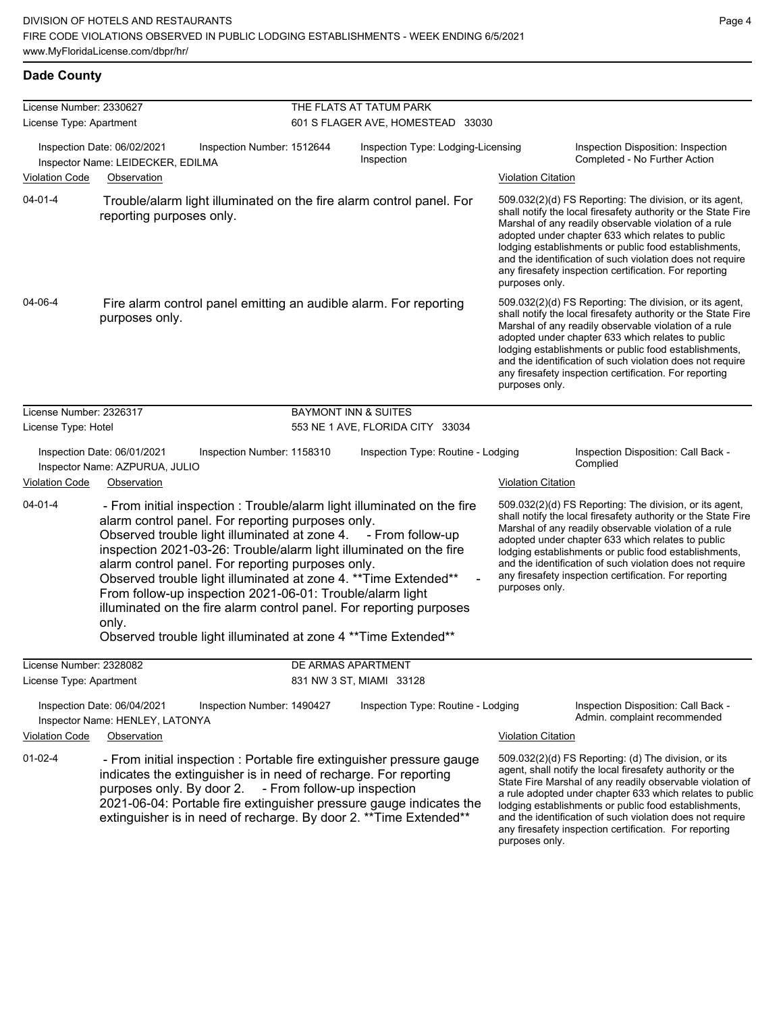| License Number: 2330627                                                                                                                                                                                                                                                                                                                                                                                                                                                                                                                                                                                                        |                                                                                                                                                                                                                                                                                                                     |                             | THE FLATS AT TATUM PARK                                             |                                                 |                                                                                                                                                                                                                                                                                                                                                                                                                            |  |  |  |
|--------------------------------------------------------------------------------------------------------------------------------------------------------------------------------------------------------------------------------------------------------------------------------------------------------------------------------------------------------------------------------------------------------------------------------------------------------------------------------------------------------------------------------------------------------------------------------------------------------------------------------|---------------------------------------------------------------------------------------------------------------------------------------------------------------------------------------------------------------------------------------------------------------------------------------------------------------------|-----------------------------|---------------------------------------------------------------------|-------------------------------------------------|----------------------------------------------------------------------------------------------------------------------------------------------------------------------------------------------------------------------------------------------------------------------------------------------------------------------------------------------------------------------------------------------------------------------------|--|--|--|
| License Type: Apartment                                                                                                                                                                                                                                                                                                                                                                                                                                                                                                                                                                                                        |                                                                                                                                                                                                                                                                                                                     |                             | 601 S FLAGER AVE, HOMESTEAD 33030                                   |                                                 |                                                                                                                                                                                                                                                                                                                                                                                                                            |  |  |  |
| <b>Violation Code</b>                                                                                                                                                                                                                                                                                                                                                                                                                                                                                                                                                                                                          | Inspection Date: 06/02/2021<br>Inspection Number: 1512644<br>Inspector Name: LEIDECKER, EDILMA<br>Observation                                                                                                                                                                                                       |                             | Inspection Type: Lodging-Licensing<br>Inspection                    | <b>Violation Citation</b>                       | Inspection Disposition: Inspection<br>Completed - No Further Action                                                                                                                                                                                                                                                                                                                                                        |  |  |  |
| $04 - 01 - 4$                                                                                                                                                                                                                                                                                                                                                                                                                                                                                                                                                                                                                  | Trouble/alarm light illuminated on the fire alarm control panel. For<br>reporting purposes only.                                                                                                                                                                                                                    |                             |                                                                     | purposes only.                                  | 509.032(2)(d) FS Reporting: The division, or its agent,<br>shall notify the local firesafety authority or the State Fire<br>Marshal of any readily observable violation of a rule<br>adopted under chapter 633 which relates to public<br>lodging establishments or public food establishments,<br>and the identification of such violation does not require<br>any firesafety inspection certification. For reporting     |  |  |  |
| 04-06-4<br>Fire alarm control panel emitting an audible alarm. For reporting<br>purposes only.                                                                                                                                                                                                                                                                                                                                                                                                                                                                                                                                 |                                                                                                                                                                                                                                                                                                                     |                             |                                                                     | purposes only.                                  | 509.032(2)(d) FS Reporting: The division, or its agent,<br>shall notify the local firesafety authority or the State Fire<br>Marshal of any readily observable violation of a rule<br>adopted under chapter 633 which relates to public<br>lodging establishments or public food establishments,<br>and the identification of such violation does not require<br>any firesafety inspection certification. For reporting     |  |  |  |
| License Number: 2326317<br>License Type: Hotel                                                                                                                                                                                                                                                                                                                                                                                                                                                                                                                                                                                 |                                                                                                                                                                                                                                                                                                                     |                             | <b>BAYMONT INN &amp; SUITES</b><br>553 NE 1 AVE, FLORIDA CITY 33034 |                                                 |                                                                                                                                                                                                                                                                                                                                                                                                                            |  |  |  |
| Inspection Date: 06/01/2021<br>Inspection Number: 1158310<br>Inspector Name: AZPURUA, JULIO                                                                                                                                                                                                                                                                                                                                                                                                                                                                                                                                    |                                                                                                                                                                                                                                                                                                                     |                             | Inspection Type: Routine - Lodging                                  | Inspection Disposition: Call Back -<br>Complied |                                                                                                                                                                                                                                                                                                                                                                                                                            |  |  |  |
| <b>Violation Code</b>                                                                                                                                                                                                                                                                                                                                                                                                                                                                                                                                                                                                          | Observation                                                                                                                                                                                                                                                                                                         |                             |                                                                     |                                                 | <b>Violation Citation</b>                                                                                                                                                                                                                                                                                                                                                                                                  |  |  |  |
| $04 - 01 - 4$<br>- From initial inspection : Trouble/alarm light illuminated on the fire<br>alarm control panel. For reporting purposes only.<br>Observed trouble light illuminated at zone 4. - From follow-up<br>inspection 2021-03-26: Trouble/alarm light illuminated on the fire<br>alarm control panel. For reporting purposes only.<br>Observed trouble light illuminated at zone 4. ** Time Extended**<br>From follow-up inspection 2021-06-01: Trouble/alarm light<br>illuminated on the fire alarm control panel. For reporting purposes<br>only.<br>Observed trouble light illuminated at zone 4 ** Time Extended** |                                                                                                                                                                                                                                                                                                                     |                             |                                                                     | purposes only.                                  | 509.032(2)(d) FS Reporting: The division, or its agent,<br>shall notify the local firesafety authority or the State Fire<br>Marshal of any readily observable violation of a rule<br>adopted under chapter 633 which relates to public<br>lodging establishments or public food establishments,<br>and the identification of such violation does not require<br>any firesafety inspection certification. For reporting     |  |  |  |
| License Number: 2328082                                                                                                                                                                                                                                                                                                                                                                                                                                                                                                                                                                                                        |                                                                                                                                                                                                                                                                                                                     |                             | DE ARMAS APARTMENT                                                  |                                                 |                                                                                                                                                                                                                                                                                                                                                                                                                            |  |  |  |
| License Type: Apartment                                                                                                                                                                                                                                                                                                                                                                                                                                                                                                                                                                                                        |                                                                                                                                                                                                                                                                                                                     |                             | 831 NW 3 ST, MIAMI 33128                                            |                                                 |                                                                                                                                                                                                                                                                                                                                                                                                                            |  |  |  |
| Inspection Date: 06/04/2021<br>Inspection Number: 1490427<br>Inspector Name: HENLEY, LATONYA                                                                                                                                                                                                                                                                                                                                                                                                                                                                                                                                   |                                                                                                                                                                                                                                                                                                                     |                             | Inspection Type: Routine - Lodging                                  |                                                 | Inspection Disposition: Call Back -<br>Admin. complaint recommended                                                                                                                                                                                                                                                                                                                                                        |  |  |  |
| <b>Violation Code</b>                                                                                                                                                                                                                                                                                                                                                                                                                                                                                                                                                                                                          | Observation                                                                                                                                                                                                                                                                                                         |                             |                                                                     | <b>Violation Citation</b>                       |                                                                                                                                                                                                                                                                                                                                                                                                                            |  |  |  |
| $01-02-4$                                                                                                                                                                                                                                                                                                                                                                                                                                                                                                                                                                                                                      | - From initial inspection : Portable fire extinguisher pressure gauge<br>indicates the extinguisher is in need of recharge. For reporting<br>purposes only. By door 2.<br>2021-06-04: Portable fire extinguisher pressure gauge indicates the<br>extinguisher is in need of recharge. By door 2. ** Time Extended** | - From follow-up inspection |                                                                     | purposes only.                                  | 509.032(2)(d) FS Reporting: (d) The division, or its<br>agent, shall notify the local firesafety authority or the<br>State Fire Marshal of any readily observable violation of<br>a rule adopted under chapter 633 which relates to public<br>lodging establishments or public food establishments,<br>and the identification of such violation does not require<br>any firesafety inspection certification. For reporting |  |  |  |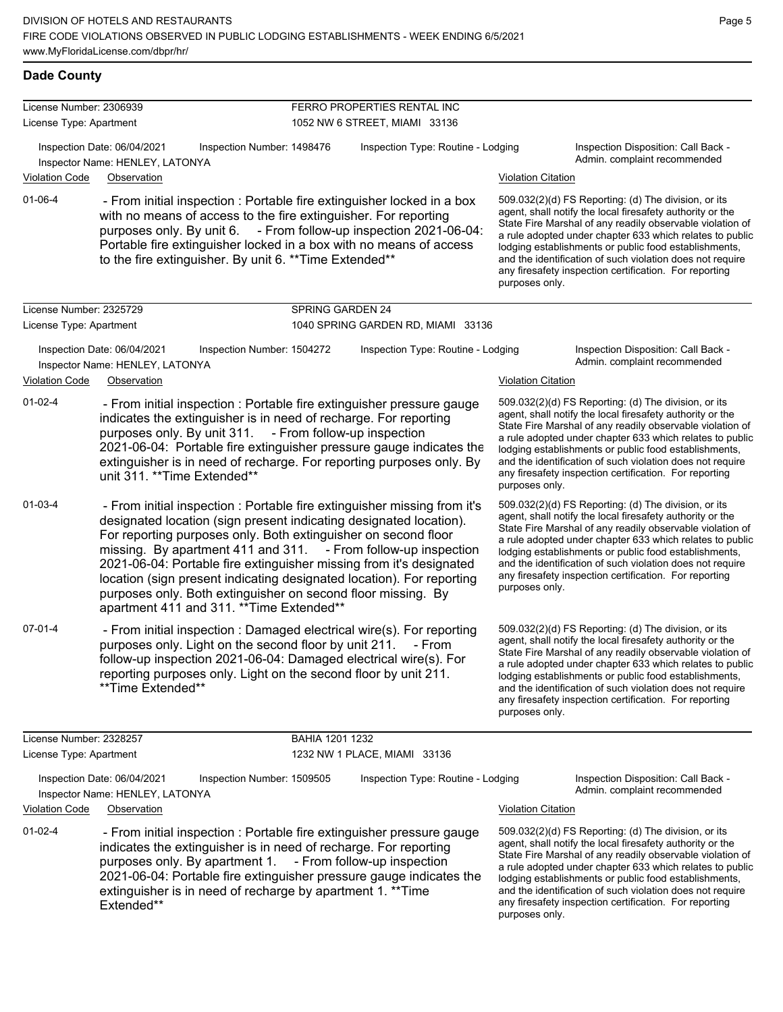| License Number: 2306939 |                                                                                                                                                                                                                                                                                                                                                                                                                                                                                                                                                 |                         | FERRO PROPERTIES RENTAL INC        |                           |                                                                                                                                                                                                                                                                                                                                                                                                                            |
|-------------------------|-------------------------------------------------------------------------------------------------------------------------------------------------------------------------------------------------------------------------------------------------------------------------------------------------------------------------------------------------------------------------------------------------------------------------------------------------------------------------------------------------------------------------------------------------|-------------------------|------------------------------------|---------------------------|----------------------------------------------------------------------------------------------------------------------------------------------------------------------------------------------------------------------------------------------------------------------------------------------------------------------------------------------------------------------------------------------------------------------------|
| License Type: Apartment |                                                                                                                                                                                                                                                                                                                                                                                                                                                                                                                                                 |                         | 1052 NW 6 STREET, MIAMI 33136      |                           |                                                                                                                                                                                                                                                                                                                                                                                                                            |
|                         | Inspection Date: 06/04/2021<br>Inspection Number: 1498476<br>Inspector Name: HENLEY, LATONYA                                                                                                                                                                                                                                                                                                                                                                                                                                                    |                         | Inspection Type: Routine - Lodging |                           | Inspection Disposition: Call Back -<br>Admin. complaint recommended                                                                                                                                                                                                                                                                                                                                                        |
| <b>Violation Code</b>   | Observation                                                                                                                                                                                                                                                                                                                                                                                                                                                                                                                                     |                         |                                    | <b>Violation Citation</b> |                                                                                                                                                                                                                                                                                                                                                                                                                            |
| 01-06-4                 | - From initial inspection : Portable fire extinguisher locked in a box<br>with no means of access to the fire extinguisher. For reporting<br>purposes only. By unit 6. - From follow-up inspection 2021-06-04:<br>Portable fire extinguisher locked in a box with no means of access<br>to the fire extinguisher. By unit 6. ** Time Extended**                                                                                                                                                                                                 |                         |                                    | purposes only.            | 509.032(2)(d) FS Reporting: (d) The division, or its<br>agent, shall notify the local firesafety authority or the<br>State Fire Marshal of any readily observable violation of<br>a rule adopted under chapter 633 which relates to public<br>lodging establishments or public food establishments,<br>and the identification of such violation does not require<br>any firesafety inspection certification. For reporting |
| License Number: 2325729 |                                                                                                                                                                                                                                                                                                                                                                                                                                                                                                                                                 | <b>SPRING GARDEN 24</b> |                                    |                           |                                                                                                                                                                                                                                                                                                                                                                                                                            |
| License Type: Apartment |                                                                                                                                                                                                                                                                                                                                                                                                                                                                                                                                                 |                         | 1040 SPRING GARDEN RD, MIAMI 33136 |                           |                                                                                                                                                                                                                                                                                                                                                                                                                            |
|                         | Inspection Date: 06/04/2021<br>Inspection Number: 1504272<br>Inspector Name: HENLEY, LATONYA                                                                                                                                                                                                                                                                                                                                                                                                                                                    |                         | Inspection Type: Routine - Lodging |                           | Inspection Disposition: Call Back -<br>Admin. complaint recommended                                                                                                                                                                                                                                                                                                                                                        |
| <b>Violation Code</b>   | Observation                                                                                                                                                                                                                                                                                                                                                                                                                                                                                                                                     |                         |                                    | <b>Violation Citation</b> |                                                                                                                                                                                                                                                                                                                                                                                                                            |
| $01-02-4$               | - From initial inspection : Portable fire extinguisher pressure gauge<br>indicates the extinguisher is in need of recharge. For reporting<br>purposes only. By unit 311. - From follow-up inspection<br>2021-06-04: Portable fire extinguisher pressure gauge indicates the<br>extinguisher is in need of recharge. For reporting purposes only. By<br>unit 311. ** Time Extended**                                                                                                                                                             |                         |                                    | purposes only.            | 509.032(2)(d) FS Reporting: (d) The division, or its<br>agent, shall notify the local firesafety authority or the<br>State Fire Marshal of any readily observable violation of<br>a rule adopted under chapter 633 which relates to public<br>lodging establishments or public food establishments,<br>and the identification of such violation does not require<br>any firesafety inspection certification. For reporting |
| $01 - 03 - 4$           | - From initial inspection : Portable fire extinguisher missing from it's<br>designated location (sign present indicating designated location).<br>For reporting purposes only. Both extinguisher on second floor<br>missing. By apartment 411 and 311. - From follow-up inspection<br>2021-06-04: Portable fire extinguisher missing from it's designated<br>location (sign present indicating designated location). For reporting<br>purposes only. Both extinguisher on second floor missing. By<br>apartment 411 and 311. ** Time Extended** |                         |                                    | purposes only.            | 509.032(2)(d) FS Reporting: (d) The division, or its<br>agent, shall notify the local firesafety authority or the<br>State Fire Marshal of any readily observable violation of<br>a rule adopted under chapter 633 which relates to public<br>lodging establishments or public food establishments,<br>and the identification of such violation does not require<br>any firesafety inspection certification. For reporting |
| $07 - 01 - 4$           | - From initial inspection : Damaged electrical wire(s). For reporting<br>purposes only. Light on the second floor by unit 211. - From<br>follow-up inspection 2021-06-04: Damaged electrical wire(s). For<br>reporting purposes only. Light on the second floor by unit 211.<br>**Time Extended**                                                                                                                                                                                                                                               |                         |                                    | purposes only.            | 509.032(2)(d) FS Reporting: (d) The division, or its<br>agent, shall notify the local firesafety authority or the<br>State Fire Marshal of any readily observable violation of<br>a rule adopted under chapter 633 which relates to public<br>lodging establishments or public food establishments,<br>and the identification of such violation does not require<br>any firesafety inspection certification. For reporting |
| License Number: 2328257 |                                                                                                                                                                                                                                                                                                                                                                                                                                                                                                                                                 | BAHIA 1201 1232         |                                    |                           |                                                                                                                                                                                                                                                                                                                                                                                                                            |
| License Type: Apartment |                                                                                                                                                                                                                                                                                                                                                                                                                                                                                                                                                 |                         | 1232 NW 1 PLACE, MIAMI 33136       |                           |                                                                                                                                                                                                                                                                                                                                                                                                                            |
|                         | Inspection Date: 06/04/2021<br>Inspection Number: 1509505<br>Inspector Name: HENLEY, LATONYA                                                                                                                                                                                                                                                                                                                                                                                                                                                    |                         | Inspection Type: Routine - Lodging |                           | Inspection Disposition: Call Back -<br>Admin. complaint recommended                                                                                                                                                                                                                                                                                                                                                        |
| <b>Violation Code</b>   | Observation                                                                                                                                                                                                                                                                                                                                                                                                                                                                                                                                     |                         |                                    | <b>Violation Citation</b> |                                                                                                                                                                                                                                                                                                                                                                                                                            |
| $01-02-4$               | - From initial inspection : Portable fire extinguisher pressure gauge                                                                                                                                                                                                                                                                                                                                                                                                                                                                           |                         |                                    |                           | 509.032(2)(d) FS Reporting: (d) The division, or its                                                                                                                                                                                                                                                                                                                                                                       |

indicates the extinguisher is in need of recharge. For reporting purposes only. By apartment 1. - From follow-up inspection 2021-06-04: Portable fire extinguisher pressure gauge indicates the extinguisher is in need of recharge by apartment 1. \*\*Time Extended\*\*

agent, shall notify the local firesafety authority or the State Fire Marshal of any readily observable violation of a rule adopted under chapter 633 which relates to public lodging establishments or public food establishments, and the identification of such violation does not require any firesafety inspection certification. For reporting purposes only.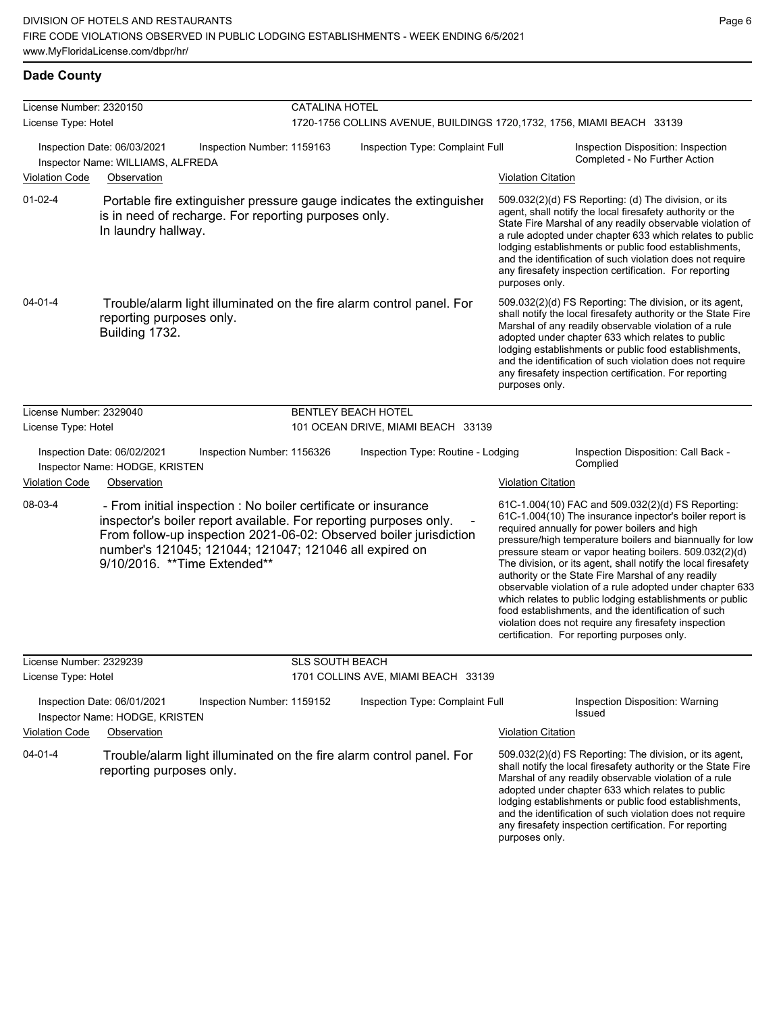| License Number: 2320150 |                                                                                                                                                                                                                                                                                                      |                            | <b>CATALINA HOTEL</b>                                                   |                           |                                                                                                                                                                                                                                                                                                                                                                                                                                                                                                                                                                                                                                                                                                 |  |  |  |
|-------------------------|------------------------------------------------------------------------------------------------------------------------------------------------------------------------------------------------------------------------------------------------------------------------------------------------------|----------------------------|-------------------------------------------------------------------------|---------------------------|-------------------------------------------------------------------------------------------------------------------------------------------------------------------------------------------------------------------------------------------------------------------------------------------------------------------------------------------------------------------------------------------------------------------------------------------------------------------------------------------------------------------------------------------------------------------------------------------------------------------------------------------------------------------------------------------------|--|--|--|
| License Type: Hotel     |                                                                                                                                                                                                                                                                                                      |                            | 1720-1756 COLLINS AVENUE, BUILDINGS 1720, 1732, 1756, MIAMI BEACH 33139 |                           |                                                                                                                                                                                                                                                                                                                                                                                                                                                                                                                                                                                                                                                                                                 |  |  |  |
|                         | Inspection Date: 06/03/2021<br>Inspector Name: WILLIAMS, ALFREDA                                                                                                                                                                                                                                     | Inspection Number: 1159163 | Inspection Type: Complaint Full                                         |                           | Inspection Disposition: Inspection<br>Completed - No Further Action                                                                                                                                                                                                                                                                                                                                                                                                                                                                                                                                                                                                                             |  |  |  |
| <b>Violation Code</b>   | Observation                                                                                                                                                                                                                                                                                          |                            |                                                                         | <b>Violation Citation</b> |                                                                                                                                                                                                                                                                                                                                                                                                                                                                                                                                                                                                                                                                                                 |  |  |  |
| $01 - 02 - 4$           | Portable fire extinguisher pressure gauge indicates the extinguisher<br>is in need of recharge. For reporting purposes only.<br>In laundry hallway.                                                                                                                                                  |                            |                                                                         | purposes only.            | 509.032(2)(d) FS Reporting: (d) The division, or its<br>agent, shall notify the local firesafety authority or the<br>State Fire Marshal of any readily observable violation of<br>a rule adopted under chapter 633 which relates to public<br>lodging establishments or public food establishments,<br>and the identification of such violation does not require<br>any firesafety inspection certification. For reporting                                                                                                                                                                                                                                                                      |  |  |  |
| $04 - 01 - 4$           | Trouble/alarm light illuminated on the fire alarm control panel. For<br>reporting purposes only.<br>Building 1732.                                                                                                                                                                                   |                            |                                                                         | purposes only.            | 509.032(2)(d) FS Reporting: The division, or its agent,<br>shall notify the local firesafety authority or the State Fire<br>Marshal of any readily observable violation of a rule<br>adopted under chapter 633 which relates to public<br>lodging establishments or public food establishments,<br>and the identification of such violation does not require<br>any firesafety inspection certification. For reporting                                                                                                                                                                                                                                                                          |  |  |  |
| License Number: 2329040 |                                                                                                                                                                                                                                                                                                      |                            | <b>BENTLEY BEACH HOTEL</b>                                              |                           |                                                                                                                                                                                                                                                                                                                                                                                                                                                                                                                                                                                                                                                                                                 |  |  |  |
| License Type: Hotel     |                                                                                                                                                                                                                                                                                                      |                            | 101 OCEAN DRIVE, MIAMI BEACH 33139                                      |                           |                                                                                                                                                                                                                                                                                                                                                                                                                                                                                                                                                                                                                                                                                                 |  |  |  |
|                         | Inspection Date: 06/02/2021<br>Inspector Name: HODGE, KRISTEN                                                                                                                                                                                                                                        | Inspection Number: 1156326 | Inspection Type: Routine - Lodging                                      |                           | Inspection Disposition: Call Back -<br>Complied                                                                                                                                                                                                                                                                                                                                                                                                                                                                                                                                                                                                                                                 |  |  |  |
| <b>Violation Code</b>   | Observation                                                                                                                                                                                                                                                                                          |                            |                                                                         | <b>Violation Citation</b> |                                                                                                                                                                                                                                                                                                                                                                                                                                                                                                                                                                                                                                                                                                 |  |  |  |
| 08-03-4                 | - From initial inspection : No boiler certificate or insurance<br>inspector's boiler report available. For reporting purposes only.<br>From follow-up inspection 2021-06-02: Observed boiler jurisdiction<br>number's 121045; 121044; 121047; 121046 all expired on<br>9/10/2016. ** Time Extended** |                            |                                                                         |                           | 61C-1.004(10) FAC and 509.032(2)(d) FS Reporting:<br>61C-1.004(10) The insurance inpector's boiler report is<br>required annually for power boilers and high<br>pressure/high temperature boilers and biannually for low<br>pressure steam or vapor heating boilers. 509.032(2)(d)<br>The division, or its agent, shall notify the local firesafety<br>authority or the State Fire Marshal of any readily<br>observable violation of a rule adopted under chapter 633<br>which relates to public lodging establishments or public<br>food establishments, and the identification of such<br>violation does not require any firesafety inspection<br>certification. For reporting purposes only. |  |  |  |
| License Number: 2329239 |                                                                                                                                                                                                                                                                                                      | <b>SLS SOUTH BEACH</b>     |                                                                         |                           |                                                                                                                                                                                                                                                                                                                                                                                                                                                                                                                                                                                                                                                                                                 |  |  |  |
| License Type: Hotel     |                                                                                                                                                                                                                                                                                                      |                            | 1701 COLLINS AVE, MIAMI BEACH 33139                                     |                           |                                                                                                                                                                                                                                                                                                                                                                                                                                                                                                                                                                                                                                                                                                 |  |  |  |
|                         | Inspection Date: 06/01/2021<br>Inspector Name: HODGE, KRISTEN                                                                                                                                                                                                                                        | Inspection Number: 1159152 | Inspection Type: Complaint Full                                         |                           | Inspection Disposition: Warning<br>Issued                                                                                                                                                                                                                                                                                                                                                                                                                                                                                                                                                                                                                                                       |  |  |  |
| <b>Violation Code</b>   | Observation                                                                                                                                                                                                                                                                                          |                            |                                                                         | <b>Violation Citation</b> |                                                                                                                                                                                                                                                                                                                                                                                                                                                                                                                                                                                                                                                                                                 |  |  |  |
| $04 - 01 - 4$           | Trouble/alarm light illuminated on the fire alarm control panel. For<br>reporting purposes only.                                                                                                                                                                                                     |                            |                                                                         |                           | 509.032(2)(d) FS Reporting: The division, or its agent,<br>shall notify the local firesafety authority or the State Fire<br>Marshal of any readily observable violation of a rule<br>adopted under chapter 633 which relates to public<br>lodging establishments or public food establishments,<br>and the identification of such violation does not require<br>any firesafety inspection certification. For reporting                                                                                                                                                                                                                                                                          |  |  |  |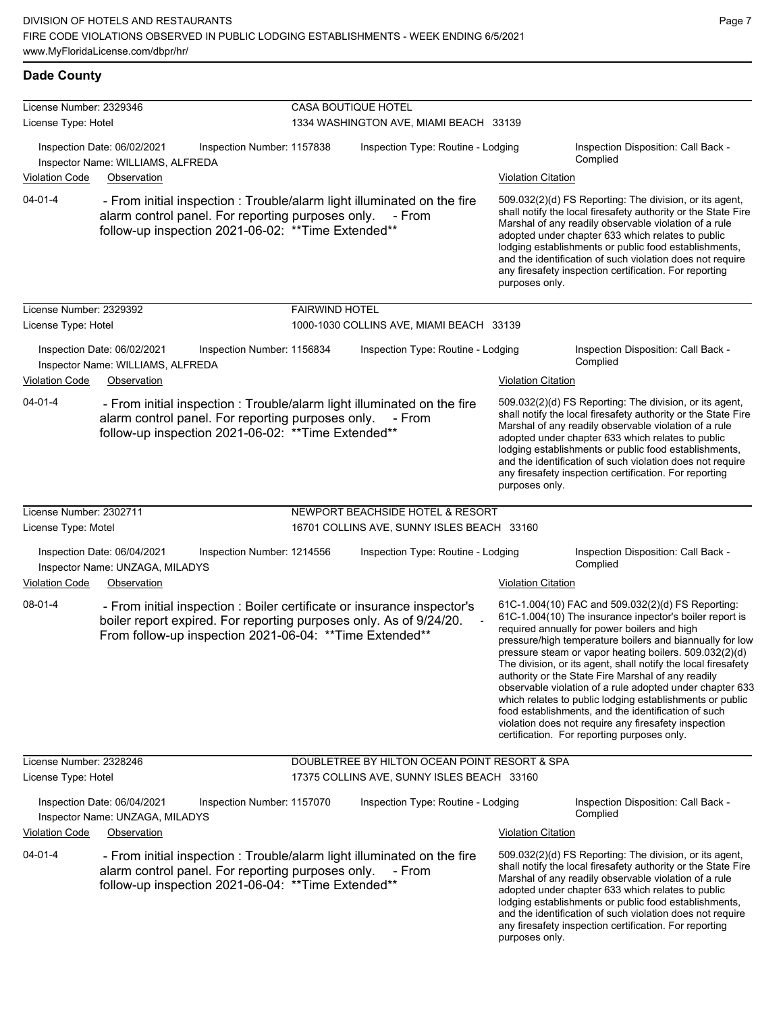| License Number: 2329346                                                                                                   |                                                                                                                                |                            | CASA BOUTIQUE HOTEL                                                               |                                                                                   |                                                                                                                                                                                                                                                                                                                                                                                                                                          |                                                                                                                                                                                                                                                                                                                                                                                                                                                                                                                                                                                                                                                                                                 |  |  |
|---------------------------------------------------------------------------------------------------------------------------|--------------------------------------------------------------------------------------------------------------------------------|----------------------------|-----------------------------------------------------------------------------------|-----------------------------------------------------------------------------------|------------------------------------------------------------------------------------------------------------------------------------------------------------------------------------------------------------------------------------------------------------------------------------------------------------------------------------------------------------------------------------------------------------------------------------------|-------------------------------------------------------------------------------------------------------------------------------------------------------------------------------------------------------------------------------------------------------------------------------------------------------------------------------------------------------------------------------------------------------------------------------------------------------------------------------------------------------------------------------------------------------------------------------------------------------------------------------------------------------------------------------------------------|--|--|
| License Type: Hotel                                                                                                       |                                                                                                                                |                            |                                                                                   | 1334 WASHINGTON AVE, MIAMI BEACH 33139                                            |                                                                                                                                                                                                                                                                                                                                                                                                                                          |                                                                                                                                                                                                                                                                                                                                                                                                                                                                                                                                                                                                                                                                                                 |  |  |
|                                                                                                                           | Inspection Date: 06/02/2021<br>Inspector Name: WILLIAMS, ALFREDA                                                               | Inspection Number: 1157838 | Inspection Type: Routine - Lodging                                                |                                                                                   |                                                                                                                                                                                                                                                                                                                                                                                                                                          | Inspection Disposition: Call Back -<br>Complied                                                                                                                                                                                                                                                                                                                                                                                                                                                                                                                                                                                                                                                 |  |  |
| <b>Violation Code</b>                                                                                                     | Observation                                                                                                                    |                            |                                                                                   |                                                                                   | <b>Violation Citation</b>                                                                                                                                                                                                                                                                                                                                                                                                                |                                                                                                                                                                                                                                                                                                                                                                                                                                                                                                                                                                                                                                                                                                 |  |  |
| $04 - 01 - 4$<br>alarm control panel. For reporting purposes only.<br>follow-up inspection 2021-06-02: ** Time Extended** |                                                                                                                                |                            | - From initial inspection : Trouble/alarm light illuminated on the fire<br>- From |                                                                                   | 509.032(2)(d) FS Reporting: The division, or its agent,<br>shall notify the local firesafety authority or the State Fire<br>Marshal of any readily observable violation of a rule<br>adopted under chapter 633 which relates to public<br>lodging establishments or public food establishments,<br>and the identification of such violation does not require<br>any firesafety inspection certification. For reporting<br>purposes only. |                                                                                                                                                                                                                                                                                                                                                                                                                                                                                                                                                                                                                                                                                                 |  |  |
| License Number: 2329392                                                                                                   |                                                                                                                                |                            | <b>FAIRWIND HOTEL</b>                                                             |                                                                                   |                                                                                                                                                                                                                                                                                                                                                                                                                                          |                                                                                                                                                                                                                                                                                                                                                                                                                                                                                                                                                                                                                                                                                                 |  |  |
| License Type: Hotel                                                                                                       |                                                                                                                                |                            |                                                                                   | 1000-1030 COLLINS AVE, MIAMI BEACH 33139                                          |                                                                                                                                                                                                                                                                                                                                                                                                                                          |                                                                                                                                                                                                                                                                                                                                                                                                                                                                                                                                                                                                                                                                                                 |  |  |
| <b>Violation Code</b>                                                                                                     | Inspection Date: 06/02/2021<br>Inspector Name: WILLIAMS, ALFREDA<br>Observation                                                | Inspection Number: 1156834 |                                                                                   | Inspection Type: Routine - Lodging                                                | <b>Violation Citation</b>                                                                                                                                                                                                                                                                                                                                                                                                                | Inspection Disposition: Call Back -<br>Complied                                                                                                                                                                                                                                                                                                                                                                                                                                                                                                                                                                                                                                                 |  |  |
| $04 - 01 - 4$                                                                                                             | alarm control panel. For reporting purposes only.<br>follow-up inspection 2021-06-02: ** Time Extended**                       |                            |                                                                                   | - From initial inspection : Trouble/alarm light illuminated on the fire<br>- From | purposes only.                                                                                                                                                                                                                                                                                                                                                                                                                           | 509.032(2)(d) FS Reporting: The division, or its agent,<br>shall notify the local firesafety authority or the State Fire<br>Marshal of any readily observable violation of a rule<br>adopted under chapter 633 which relates to public<br>lodging establishments or public food establishments,<br>and the identification of such violation does not require<br>any firesafety inspection certification. For reporting                                                                                                                                                                                                                                                                          |  |  |
| License Number: 2302711                                                                                                   |                                                                                                                                |                            |                                                                                   | NEWPORT BEACHSIDE HOTEL & RESORT                                                  |                                                                                                                                                                                                                                                                                                                                                                                                                                          |                                                                                                                                                                                                                                                                                                                                                                                                                                                                                                                                                                                                                                                                                                 |  |  |
| License Type: Motel                                                                                                       |                                                                                                                                |                            |                                                                                   | 16701 COLLINS AVE, SUNNY ISLES BEACH 33160                                        |                                                                                                                                                                                                                                                                                                                                                                                                                                          |                                                                                                                                                                                                                                                                                                                                                                                                                                                                                                                                                                                                                                                                                                 |  |  |
|                                                                                                                           | Inspection Date: 06/04/2021<br>Inspector Name: UNZAGA, MILADYS                                                                 | Inspection Number: 1214556 |                                                                                   | Inspection Type: Routine - Lodging                                                |                                                                                                                                                                                                                                                                                                                                                                                                                                          | Inspection Disposition: Call Back -<br>Complied                                                                                                                                                                                                                                                                                                                                                                                                                                                                                                                                                                                                                                                 |  |  |
| <b>Violation Code</b>                                                                                                     | Observation                                                                                                                    |                            |                                                                                   |                                                                                   | <b>Violation Citation</b>                                                                                                                                                                                                                                                                                                                                                                                                                |                                                                                                                                                                                                                                                                                                                                                                                                                                                                                                                                                                                                                                                                                                 |  |  |
| 08-01-4                                                                                                                   | boiler report expired. For reporting purposes only. As of 9/24/20.<br>From follow-up inspection 2021-06-04: ** Time Extended** |                            |                                                                                   | - From initial inspection : Boiler certificate or insurance inspector's           |                                                                                                                                                                                                                                                                                                                                                                                                                                          | 61C-1.004(10) FAC and 509.032(2)(d) FS Reporting:<br>61C-1.004(10) The insurance inpector's boiler report is<br>required annually for power boilers and high<br>pressure/high temperature boilers and biannually for low<br>pressure steam or vapor heating boilers. 509.032(2)(d)<br>The division, or its agent, shall notify the local firesafety<br>authority or the State Fire Marshal of any readily<br>observable violation of a rule adopted under chapter 633<br>which relates to public lodging establishments or public<br>food establishments, and the identification of such<br>violation does not require any firesafety inspection<br>certification. For reporting purposes only. |  |  |
| License Number: 2328246                                                                                                   |                                                                                                                                |                            |                                                                                   | DOUBLETREE BY HILTON OCEAN POINT RESORT & SPA                                     |                                                                                                                                                                                                                                                                                                                                                                                                                                          |                                                                                                                                                                                                                                                                                                                                                                                                                                                                                                                                                                                                                                                                                                 |  |  |
| License Type: Hotel                                                                                                       |                                                                                                                                |                            |                                                                                   | 17375 COLLINS AVE, SUNNY ISLES BEACH 33160                                        |                                                                                                                                                                                                                                                                                                                                                                                                                                          |                                                                                                                                                                                                                                                                                                                                                                                                                                                                                                                                                                                                                                                                                                 |  |  |
|                                                                                                                           | Inspection Date: 06/04/2021<br>Inspector Name: UNZAGA, MILADYS                                                                 | Inspection Number: 1157070 |                                                                                   | Inspection Type: Routine - Lodging                                                |                                                                                                                                                                                                                                                                                                                                                                                                                                          | Inspection Disposition: Call Back -<br>Complied                                                                                                                                                                                                                                                                                                                                                                                                                                                                                                                                                                                                                                                 |  |  |
| <b>Violation Code</b>                                                                                                     | Observation                                                                                                                    |                            |                                                                                   |                                                                                   | <b>Violation Citation</b>                                                                                                                                                                                                                                                                                                                                                                                                                |                                                                                                                                                                                                                                                                                                                                                                                                                                                                                                                                                                                                                                                                                                 |  |  |
| 04-01-4                                                                                                                   | alarm control panel. For reporting purposes only.<br>follow-up inspection 2021-06-04: ** Time Extended**                       |                            |                                                                                   | - From initial inspection : Trouble/alarm light illuminated on the fire<br>- From | purposes only.                                                                                                                                                                                                                                                                                                                                                                                                                           | 509.032(2)(d) FS Reporting: The division, or its agent,<br>shall notify the local firesafety authority or the State Fire<br>Marshal of any readily observable violation of a rule<br>adopted under chapter 633 which relates to public<br>lodging establishments or public food establishments,<br>and the identification of such violation does not require<br>any firesafety inspection certification. For reporting                                                                                                                                                                                                                                                                          |  |  |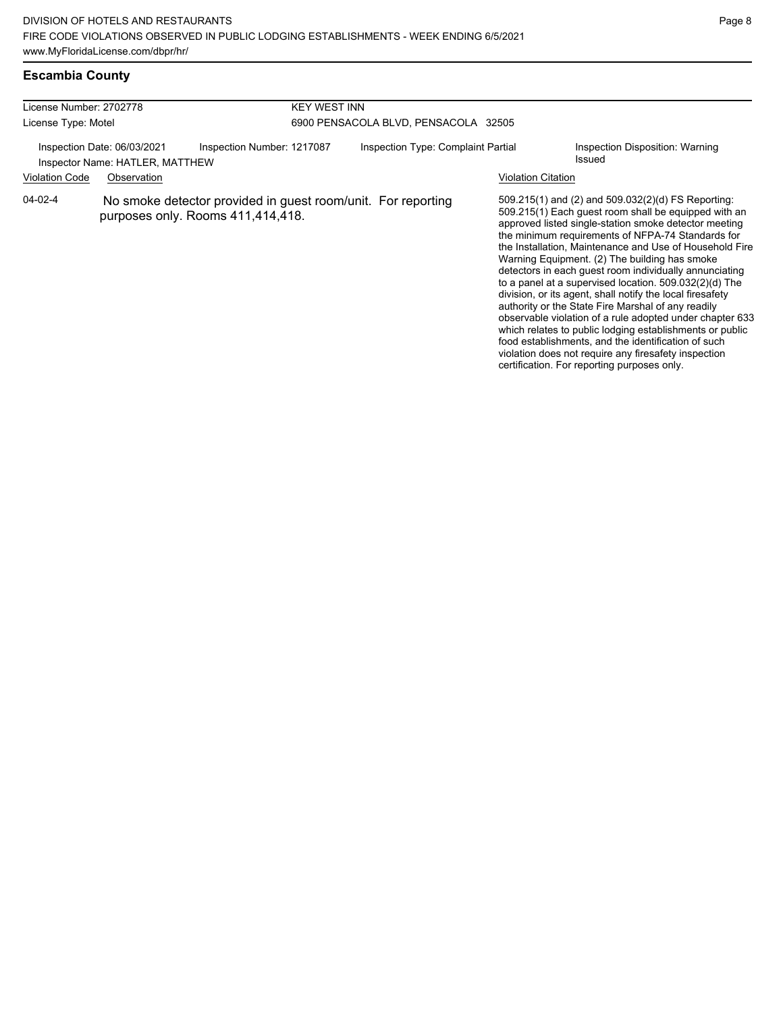### **Escambia County**

| License Number: 2702778                                                                         |  | <b>KEY WEST INN</b>                                                                               |                                      |                           |                                                                                                                                                                                                                                                                                                                                                                                                                                                                                                                                                                                                                                                                                                                                                                                                                                                                     |  |  |
|-------------------------------------------------------------------------------------------------|--|---------------------------------------------------------------------------------------------------|--------------------------------------|---------------------------|---------------------------------------------------------------------------------------------------------------------------------------------------------------------------------------------------------------------------------------------------------------------------------------------------------------------------------------------------------------------------------------------------------------------------------------------------------------------------------------------------------------------------------------------------------------------------------------------------------------------------------------------------------------------------------------------------------------------------------------------------------------------------------------------------------------------------------------------------------------------|--|--|
| License Type: Motel                                                                             |  |                                                                                                   | 6900 PENSACOLA BLVD, PENSACOLA 32505 |                           |                                                                                                                                                                                                                                                                                                                                                                                                                                                                                                                                                                                                                                                                                                                                                                                                                                                                     |  |  |
| Inspection Date: 06/03/2021<br>Inspector Name: HATLER, MATTHEW<br>Violation Code<br>Observation |  | Inspection Number: 1217087                                                                        | Inspection Type: Complaint Partial   | <b>Violation Citation</b> | Inspection Disposition: Warning<br>Issued                                                                                                                                                                                                                                                                                                                                                                                                                                                                                                                                                                                                                                                                                                                                                                                                                           |  |  |
| $04 - 02 - 4$                                                                                   |  | No smoke detector provided in guest room/unit. For reporting<br>purposes only. Rooms 411,414,418. |                                      |                           | 509.215(1) and (2) and 509.032(2)(d) FS Reporting:<br>509.215(1) Each guest room shall be equipped with an<br>approved listed single-station smoke detector meeting<br>the minimum requirements of NFPA-74 Standards for<br>the Installation, Maintenance and Use of Household Fire<br>Warning Equipment. (2) The building has smoke<br>detectors in each guest room individually annunciating<br>to a panel at a supervised location. $509.032(2)(d)$ The<br>division, or its agent, shall notify the local firesafety<br>authority or the State Fire Marshal of any readily<br>observable violation of a rule adopted under chapter 633<br>which relates to public lodging establishments or public<br>food establishments, and the identification of such<br>violation does not require any firesafety inspection<br>certification. For reporting purposes only. |  |  |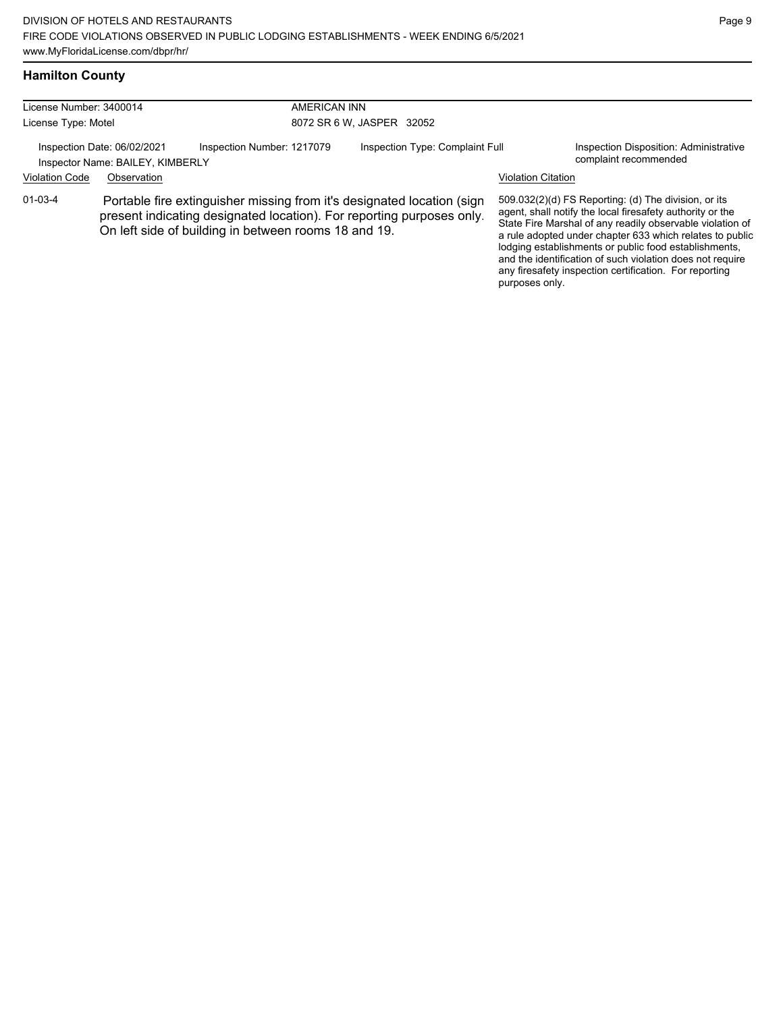#### **Hamilton County**

| License Number: 3400014<br>License Type: Motel |                                                                 |                                                                                                                                                                                                         | AMERICAN INN                    |                    |                                                                                                                                                                                                                                                                                                                                                                                                                            |  |  |
|------------------------------------------------|-----------------------------------------------------------------|---------------------------------------------------------------------------------------------------------------------------------------------------------------------------------------------------------|---------------------------------|--------------------|----------------------------------------------------------------------------------------------------------------------------------------------------------------------------------------------------------------------------------------------------------------------------------------------------------------------------------------------------------------------------------------------------------------------------|--|--|
|                                                |                                                                 |                                                                                                                                                                                                         | 8072 SR 6 W, JASPER 32052       |                    |                                                                                                                                                                                                                                                                                                                                                                                                                            |  |  |
|                                                | Inspection Date: 06/02/2021<br>Inspector Name: BAILEY, KIMBERLY | Inspection Number: 1217079                                                                                                                                                                              | Inspection Type: Complaint Full |                    | Inspection Disposition: Administrative<br>complaint recommended                                                                                                                                                                                                                                                                                                                                                            |  |  |
| <b>Violation Code</b>                          | Observation                                                     |                                                                                                                                                                                                         |                                 | Violation Citation |                                                                                                                                                                                                                                                                                                                                                                                                                            |  |  |
| $01 - 03 - 4$                                  |                                                                 | Portable fire extinguisher missing from it's designated location (sign<br>present indicating designated location). For reporting purposes only.<br>On left side of building in between rooms 18 and 19. |                                 |                    | 509.032(2)(d) FS Reporting: (d) The division, or its<br>agent, shall notify the local firesafety authority or the<br>State Fire Marshal of any readily observable violation of<br>a rule adopted under chapter 633 which relates to public<br>lodging establishments or public food establishments,<br>and the identification of such violation does not require<br>any firesafety inspection certification. For reporting |  |  |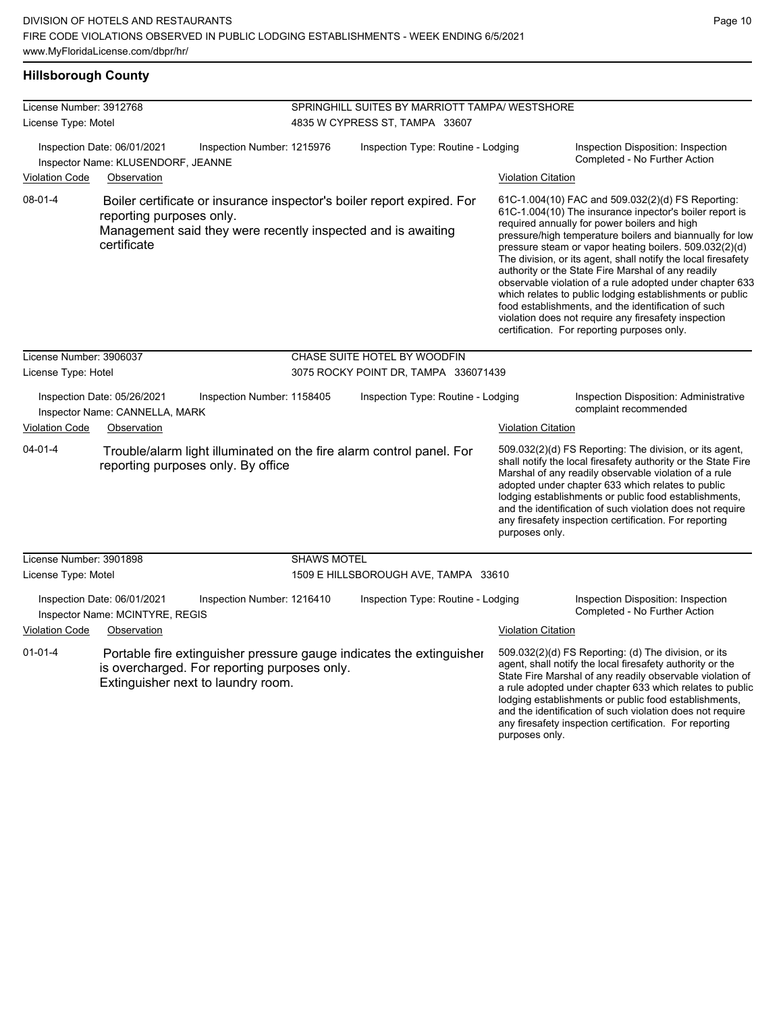# **Hillsborough County**

| License Number: 3912768                                                                                                                                                                      |                                                                   |                                                                                    | SPRINGHILL SUITES BY MARRIOTT TAMPA/ WESTSHORE |                                                                                                                                                                                                                                                                                                                                                                                                                                                                                                                                                                                                                                                                                                 |                           |                                                                                                                                                                                                                                                                                                                                                                                                                            |  |
|----------------------------------------------------------------------------------------------------------------------------------------------------------------------------------------------|-------------------------------------------------------------------|------------------------------------------------------------------------------------|------------------------------------------------|-------------------------------------------------------------------------------------------------------------------------------------------------------------------------------------------------------------------------------------------------------------------------------------------------------------------------------------------------------------------------------------------------------------------------------------------------------------------------------------------------------------------------------------------------------------------------------------------------------------------------------------------------------------------------------------------------|---------------------------|----------------------------------------------------------------------------------------------------------------------------------------------------------------------------------------------------------------------------------------------------------------------------------------------------------------------------------------------------------------------------------------------------------------------------|--|
| License Type: Motel                                                                                                                                                                          |                                                                   |                                                                                    | 4835 W CYPRESS ST, TAMPA 33607                 |                                                                                                                                                                                                                                                                                                                                                                                                                                                                                                                                                                                                                                                                                                 |                           |                                                                                                                                                                                                                                                                                                                                                                                                                            |  |
|                                                                                                                                                                                              | Inspection Date: 06/01/2021<br>Inspector Name: KLUSENDORF, JEANNE | Inspection Number: 1215976                                                         |                                                | Inspection Type: Routine - Lodging<br>Inspection Disposition: Inspection<br>Completed - No Further Action                                                                                                                                                                                                                                                                                                                                                                                                                                                                                                                                                                                       |                           |                                                                                                                                                                                                                                                                                                                                                                                                                            |  |
| <b>Violation Code</b>                                                                                                                                                                        | Observation                                                       |                                                                                    |                                                |                                                                                                                                                                                                                                                                                                                                                                                                                                                                                                                                                                                                                                                                                                 | <b>Violation Citation</b> |                                                                                                                                                                                                                                                                                                                                                                                                                            |  |
| 08-01-4<br>Boiler certificate or insurance inspector's boiler report expired. For<br>reporting purposes only.<br>Management said they were recently inspected and is awaiting<br>certificate |                                                                   |                                                                                    |                                                | 61C-1.004(10) FAC and 509.032(2)(d) FS Reporting:<br>61C-1.004(10) The insurance inpector's boiler report is<br>required annually for power boilers and high<br>pressure/high temperature boilers and biannually for low<br>pressure steam or vapor heating boilers. 509.032(2)(d)<br>The division, or its agent, shall notify the local firesafety<br>authority or the State Fire Marshal of any readily<br>observable violation of a rule adopted under chapter 633<br>which relates to public lodging establishments or public<br>food establishments, and the identification of such<br>violation does not require any firesafety inspection<br>certification. For reporting purposes only. |                           |                                                                                                                                                                                                                                                                                                                                                                                                                            |  |
| License Number: 3906037                                                                                                                                                                      |                                                                   |                                                                                    |                                                | CHASE SUITE HOTEL BY WOODFIN                                                                                                                                                                                                                                                                                                                                                                                                                                                                                                                                                                                                                                                                    |                           |                                                                                                                                                                                                                                                                                                                                                                                                                            |  |
| License Type: Hotel                                                                                                                                                                          |                                                                   |                                                                                    |                                                | 3075 ROCKY POINT DR, TAMPA 336071439                                                                                                                                                                                                                                                                                                                                                                                                                                                                                                                                                                                                                                                            |                           |                                                                                                                                                                                                                                                                                                                                                                                                                            |  |
|                                                                                                                                                                                              | Inspection Date: 05/26/2021<br>Inspector Name: CANNELLA, MARK     | Inspection Number: 1158405                                                         |                                                | Inspection Type: Routine - Lodging                                                                                                                                                                                                                                                                                                                                                                                                                                                                                                                                                                                                                                                              |                           | Inspection Disposition: Administrative<br>complaint recommended                                                                                                                                                                                                                                                                                                                                                            |  |
| <b>Violation Code</b>                                                                                                                                                                        | Observation                                                       |                                                                                    |                                                |                                                                                                                                                                                                                                                                                                                                                                                                                                                                                                                                                                                                                                                                                                 | <b>Violation Citation</b> |                                                                                                                                                                                                                                                                                                                                                                                                                            |  |
| $04 - 01 - 4$                                                                                                                                                                                |                                                                   | reporting purposes only. By office                                                 |                                                | Trouble/alarm light illuminated on the fire alarm control panel. For                                                                                                                                                                                                                                                                                                                                                                                                                                                                                                                                                                                                                            | purposes only.            | 509.032(2)(d) FS Reporting: The division, or its agent,<br>shall notify the local firesafety authority or the State Fire<br>Marshal of any readily observable violation of a rule<br>adopted under chapter 633 which relates to public<br>lodging establishments or public food establishments,<br>and the identification of such violation does not require<br>any firesafety inspection certification. For reporting     |  |
| License Number: 3901898                                                                                                                                                                      |                                                                   |                                                                                    | <b>SHAWS MOTEL</b>                             |                                                                                                                                                                                                                                                                                                                                                                                                                                                                                                                                                                                                                                                                                                 |                           |                                                                                                                                                                                                                                                                                                                                                                                                                            |  |
| License Type: Motel                                                                                                                                                                          |                                                                   |                                                                                    | 1509 E HILLSBOROUGH AVE, TAMPA 33610           |                                                                                                                                                                                                                                                                                                                                                                                                                                                                                                                                                                                                                                                                                                 |                           |                                                                                                                                                                                                                                                                                                                                                                                                                            |  |
|                                                                                                                                                                                              | Inspection Date: 06/01/2021<br>Inspector Name: MCINTYRE, REGIS    | Inspection Number: 1216410                                                         |                                                | Inspection Type: Routine - Lodging                                                                                                                                                                                                                                                                                                                                                                                                                                                                                                                                                                                                                                                              |                           | Inspection Disposition: Inspection<br>Completed - No Further Action                                                                                                                                                                                                                                                                                                                                                        |  |
| <b>Violation Code</b>                                                                                                                                                                        | Observation                                                       |                                                                                    |                                                |                                                                                                                                                                                                                                                                                                                                                                                                                                                                                                                                                                                                                                                                                                 | <b>Violation Citation</b> |                                                                                                                                                                                                                                                                                                                                                                                                                            |  |
| $01 - 01 - 4$                                                                                                                                                                                |                                                                   | is overcharged. For reporting purposes only.<br>Extinguisher next to laundry room. |                                                | Portable fire extinguisher pressure gauge indicates the extinguisher                                                                                                                                                                                                                                                                                                                                                                                                                                                                                                                                                                                                                            |                           | 509.032(2)(d) FS Reporting: (d) The division, or its<br>agent, shall notify the local firesafety authority or the<br>State Fire Marshal of any readily observable violation of<br>a rule adopted under chapter 633 which relates to public<br>lodging establishments or public food establishments,<br>and the identification of such violation does not require<br>any firesafety inspection certification. For reporting |  |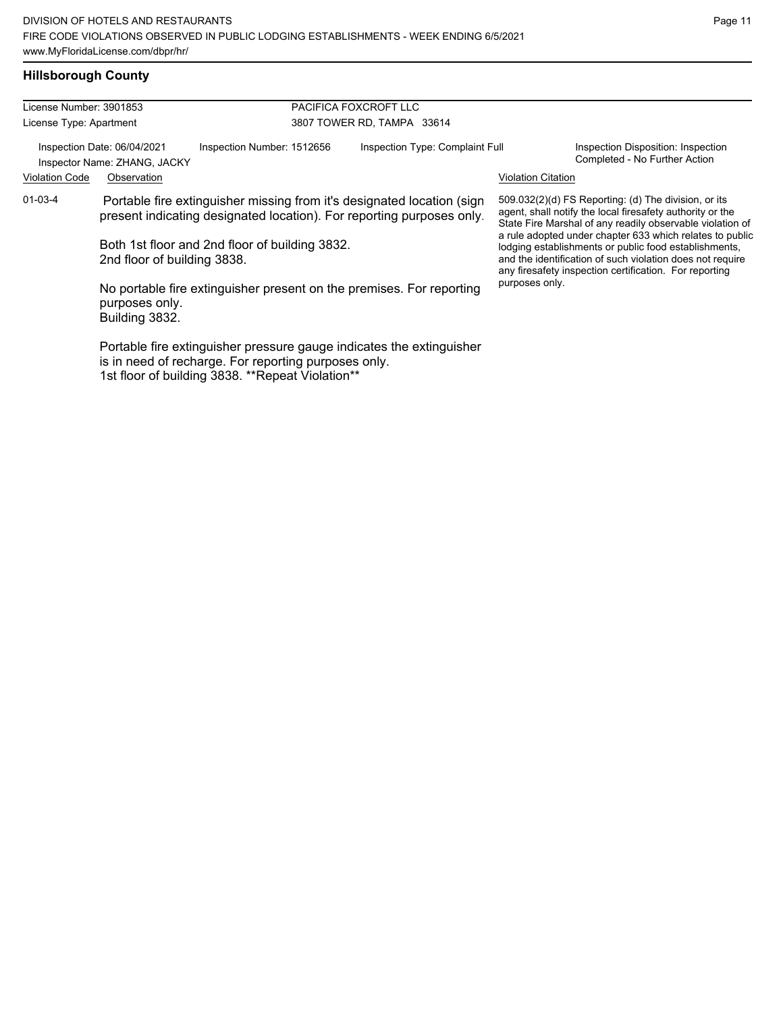# **Hillsborough County**

| License Number: 3901853                                     |                                  |                                                                                                                                                                                                   | PACIFICA FOXCROFT LLC                                                                                                                                                                                                                                                                                                                                                                                                        |                           |                                                                     |
|-------------------------------------------------------------|----------------------------------|---------------------------------------------------------------------------------------------------------------------------------------------------------------------------------------------------|------------------------------------------------------------------------------------------------------------------------------------------------------------------------------------------------------------------------------------------------------------------------------------------------------------------------------------------------------------------------------------------------------------------------------|---------------------------|---------------------------------------------------------------------|
| License Type: Apartment                                     |                                  |                                                                                                                                                                                                   | 3807 TOWER RD, TAMPA 33614                                                                                                                                                                                                                                                                                                                                                                                                   |                           |                                                                     |
| Inspection Date: 06/04/2021<br>Inspector Name: ZHANG, JACKY |                                  | Inspection Number: 1512656                                                                                                                                                                        | Inspection Type: Complaint Full                                                                                                                                                                                                                                                                                                                                                                                              |                           | Inspection Disposition: Inspection<br>Completed - No Further Action |
| <b>Violation Code</b>                                       | Observation                      |                                                                                                                                                                                                   |                                                                                                                                                                                                                                                                                                                                                                                                                              | <b>Violation Citation</b> |                                                                     |
| 01-03-4                                                     | 2nd floor of building 3838.      | Portable fire extinguisher missing from it's designated location (sign<br>present indicating designated location). For reporting purposes only.<br>Both 1st floor and 2nd floor of building 3832. | $509.032(2)(d)$ FS Reporting: (d) The division, or its<br>agent, shall notify the local firesafety authority or the<br>State Fire Marshal of any readily observable violation of<br>a rule adopted under chapter 633 which relates to public<br>lodging establishments or public food establishments,<br>and the identification of such violation does not require<br>any firesafety inspection certification. For reporting |                           |                                                                     |
|                                                             | purposes only.<br>Building 3832. | No portable fire extinguisher present on the premises. For reporting                                                                                                                              |                                                                                                                                                                                                                                                                                                                                                                                                                              | purposes only.            |                                                                     |
|                                                             |                                  | Portable fire extinguisher pressure gauge indicates the extinguisher<br>is in need of recharge. For reporting purposes only.<br>1st floor of building 3838. **Repeat Violation**                  |                                                                                                                                                                                                                                                                                                                                                                                                                              |                           |                                                                     |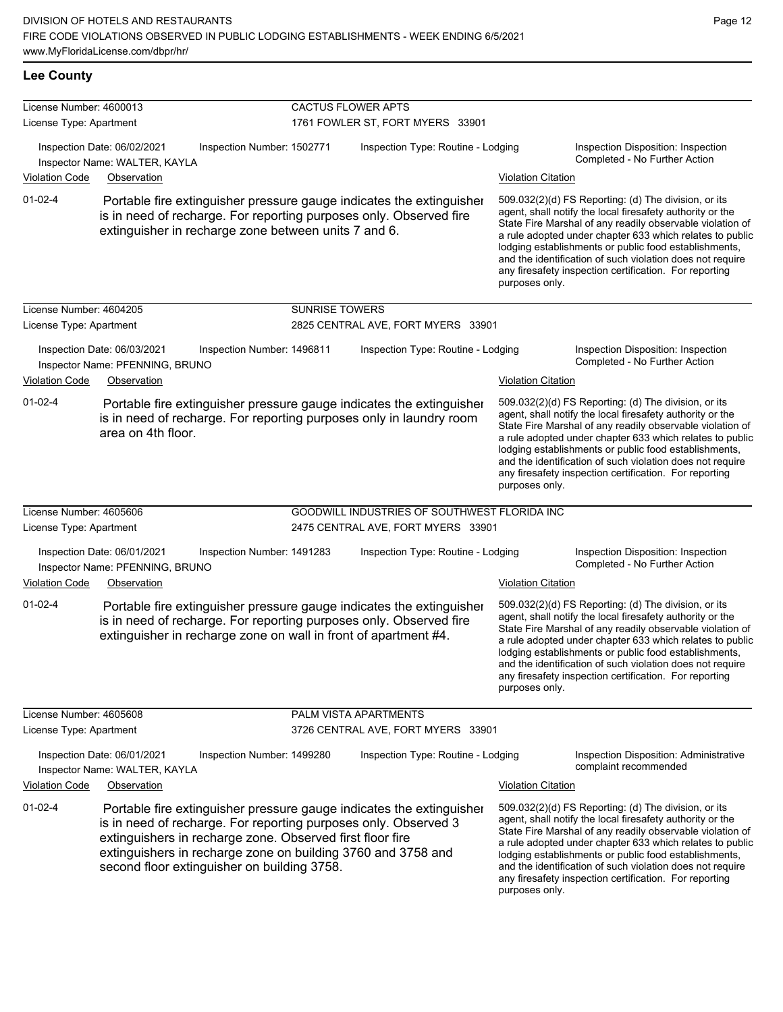| <b>Lee County</b>                                  |                                                                                                                                                                                                                                                                                                                     |                           |                                              |                           |                                                                                                                                                                                                                                                                                                                                                                                                                            |
|----------------------------------------------------|---------------------------------------------------------------------------------------------------------------------------------------------------------------------------------------------------------------------------------------------------------------------------------------------------------------------|---------------------------|----------------------------------------------|---------------------------|----------------------------------------------------------------------------------------------------------------------------------------------------------------------------------------------------------------------------------------------------------------------------------------------------------------------------------------------------------------------------------------------------------------------------|
| License Number: 4600013<br>License Type: Apartment |                                                                                                                                                                                                                                                                                                                     | <b>CACTUS FLOWER APTS</b> | 1761 FOWLER ST, FORT MYERS 33901             |                           |                                                                                                                                                                                                                                                                                                                                                                                                                            |
|                                                    | Inspection Date: 06/02/2021<br>Inspection Number: 1502771<br>Inspector Name: WALTER, KAYLA                                                                                                                                                                                                                          |                           | Inspection Type: Routine - Lodging           |                           | Inspection Disposition: Inspection<br>Completed - No Further Action                                                                                                                                                                                                                                                                                                                                                        |
| <b>Violation Code</b>                              | Observation                                                                                                                                                                                                                                                                                                         |                           |                                              | <b>Violation Citation</b> |                                                                                                                                                                                                                                                                                                                                                                                                                            |
| $01 - 02 - 4$                                      | Portable fire extinguisher pressure gauge indicates the extinguisher<br>is in need of recharge. For reporting purposes only. Observed fire<br>extinguisher in recharge zone between units 7 and 6.                                                                                                                  |                           |                                              | purposes only.            | 509.032(2)(d) FS Reporting: (d) The division, or its<br>agent, shall notify the local firesafety authority or the<br>State Fire Marshal of any readily observable violation of<br>a rule adopted under chapter 633 which relates to public<br>lodging establishments or public food establishments,<br>and the identification of such violation does not require<br>any firesafety inspection certification. For reporting |
| License Number: 4604205                            |                                                                                                                                                                                                                                                                                                                     | <b>SUNRISE TOWERS</b>     |                                              |                           |                                                                                                                                                                                                                                                                                                                                                                                                                            |
| License Type: Apartment                            |                                                                                                                                                                                                                                                                                                                     |                           | 2825 CENTRAL AVE, FORT MYERS 33901           |                           |                                                                                                                                                                                                                                                                                                                                                                                                                            |
| <b>Violation Code</b>                              | Inspection Date: 06/03/2021<br>Inspection Number: 1496811<br>Inspector Name: PFENNING, BRUNO<br>Observation                                                                                                                                                                                                         |                           | Inspection Type: Routine - Lodging           | <b>Violation Citation</b> | Inspection Disposition: Inspection<br>Completed - No Further Action                                                                                                                                                                                                                                                                                                                                                        |
| $01 - 02 - 4$                                      | Portable fire extinguisher pressure gauge indicates the extinguisher<br>is in need of recharge. For reporting purposes only in laundry room<br>area on 4th floor.                                                                                                                                                   |                           |                                              | purposes only.            | 509.032(2)(d) FS Reporting: (d) The division, or its<br>agent, shall notify the local firesafety authority or the<br>State Fire Marshal of any readily observable violation of<br>a rule adopted under chapter 633 which relates to public<br>lodging establishments or public food establishments,<br>and the identification of such violation does not require<br>any firesafety inspection certification. For reporting |
| License Number: 4605606                            |                                                                                                                                                                                                                                                                                                                     |                           | GOODWILL INDUSTRIES OF SOUTHWEST FLORIDA INC |                           |                                                                                                                                                                                                                                                                                                                                                                                                                            |
| License Type: Apartment                            |                                                                                                                                                                                                                                                                                                                     |                           | 2475 CENTRAL AVE, FORT MYERS 33901           |                           |                                                                                                                                                                                                                                                                                                                                                                                                                            |
|                                                    | Inspection Date: 06/01/2021<br>Inspection Number: 1491283<br>Inspector Name: PFENNING, BRUNO                                                                                                                                                                                                                        |                           | Inspection Type: Routine - Lodging           |                           | Inspection Disposition: Inspection<br>Completed - No Further Action                                                                                                                                                                                                                                                                                                                                                        |
| <b>Violation Code</b>                              | Observation                                                                                                                                                                                                                                                                                                         |                           |                                              | <b>Violation Citation</b> |                                                                                                                                                                                                                                                                                                                                                                                                                            |
| $01 - 02 - 4$                                      | Portable fire extinguisher pressure gauge indicates the extinguisher<br>is in need of recharge. For reporting purposes only. Observed fire<br>extinguisher in recharge zone on wall in front of apartment #4.                                                                                                       |                           |                                              | purposes only.            | 509.032(2)(d) FS Reporting: (d) The division, or its<br>agent, shall notify the local firesafety authority or the<br>State Fire Marshal of any readily observable violation of<br>a rule adopted under chapter 633 which relates to public<br>lodging establishments or public food establishments,<br>and the identification of such violation does not require<br>any firesafety inspection certification. For reporting |
| License Number: 4605608                            |                                                                                                                                                                                                                                                                                                                     |                           | PALM VISTA APARTMENTS                        |                           |                                                                                                                                                                                                                                                                                                                                                                                                                            |
| License Type: Apartment                            |                                                                                                                                                                                                                                                                                                                     |                           | 3726 CENTRAL AVE, FORT MYERS 33901           |                           |                                                                                                                                                                                                                                                                                                                                                                                                                            |
|                                                    | Inspection Date: 06/01/2021<br>Inspection Number: 1499280<br>Inspector Name: WALTER, KAYLA                                                                                                                                                                                                                          |                           | Inspection Type: Routine - Lodging           |                           | Inspection Disposition: Administrative<br>complaint recommended                                                                                                                                                                                                                                                                                                                                                            |
| <b>Violation Code</b>                              | Observation                                                                                                                                                                                                                                                                                                         |                           |                                              | <b>Violation Citation</b> |                                                                                                                                                                                                                                                                                                                                                                                                                            |
| $01 - 02 - 4$                                      | Portable fire extinguisher pressure gauge indicates the extinguisher<br>is in need of recharge. For reporting purposes only. Observed 3<br>extinguishers in recharge zone. Observed first floor fire<br>extinguishers in recharge zone on building 3760 and 3758 and<br>second floor extinguisher on building 3758. |                           |                                              | purposes only.            | 509.032(2)(d) FS Reporting: (d) The division, or its<br>agent, shall notify the local firesafety authority or the<br>State Fire Marshal of any readily observable violation of<br>a rule adopted under chapter 633 which relates to public<br>lodging establishments or public food establishments,<br>and the identification of such violation does not require<br>any firesafety inspection certification. For reporting |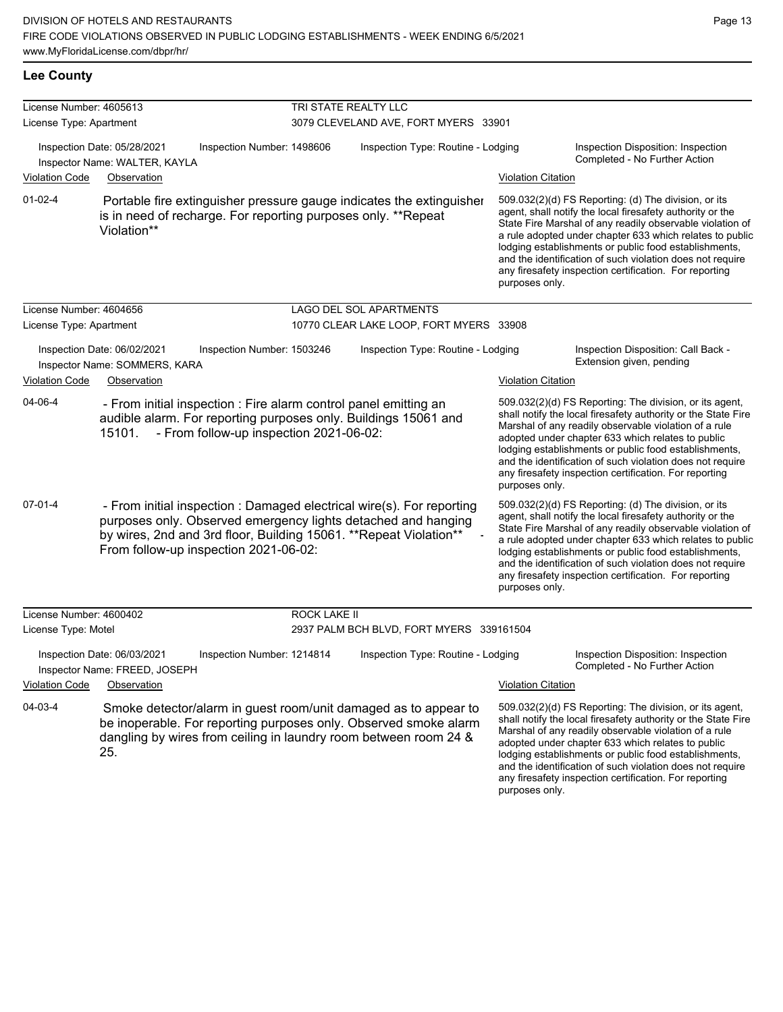| <b>Lee County</b> |
|-------------------|
|                   |

| License Number: 4605613 |                                                                                                                                                                                                                                                       | TRI STATE REALTY LLC |                                          |                           |                                                                                                                                                                                                                                                                                                                                                                                                                            |
|-------------------------|-------------------------------------------------------------------------------------------------------------------------------------------------------------------------------------------------------------------------------------------------------|----------------------|------------------------------------------|---------------------------|----------------------------------------------------------------------------------------------------------------------------------------------------------------------------------------------------------------------------------------------------------------------------------------------------------------------------------------------------------------------------------------------------------------------------|
| License Type: Apartment |                                                                                                                                                                                                                                                       |                      | 3079 CLEVELAND AVE, FORT MYERS 33901     |                           |                                                                                                                                                                                                                                                                                                                                                                                                                            |
| <b>Violation Code</b>   | Inspection Date: 05/28/2021<br>Inspection Number: 1498606<br>Inspector Name: WALTER, KAYLA                                                                                                                                                            |                      | Inspection Type: Routine - Lodging       |                           | Inspection Disposition: Inspection<br>Completed - No Further Action                                                                                                                                                                                                                                                                                                                                                        |
|                         | Observation                                                                                                                                                                                                                                           |                      |                                          | <b>Violation Citation</b> |                                                                                                                                                                                                                                                                                                                                                                                                                            |
| $01 - 02 - 4$           | Portable fire extinguisher pressure gauge indicates the extinguisher<br>is in need of recharge. For reporting purposes only. **Repeat<br>Violation**                                                                                                  |                      |                                          | purposes only.            | 509.032(2)(d) FS Reporting: (d) The division, or its<br>agent, shall notify the local firesafety authority or the<br>State Fire Marshal of any readily observable violation of<br>a rule adopted under chapter 633 which relates to public<br>lodging establishments or public food establishments,<br>and the identification of such violation does not require<br>any firesafety inspection certification. For reporting |
| License Number: 4604656 |                                                                                                                                                                                                                                                       |                      | LAGO DEL SOL APARTMENTS                  |                           |                                                                                                                                                                                                                                                                                                                                                                                                                            |
| License Type: Apartment |                                                                                                                                                                                                                                                       |                      | 10770 CLEAR LAKE LOOP, FORT MYERS 33908  |                           |                                                                                                                                                                                                                                                                                                                                                                                                                            |
|                         | Inspection Date: 06/02/2021<br>Inspection Number: 1503246<br>Inspector Name: SOMMERS, KARA                                                                                                                                                            |                      | Inspection Type: Routine - Lodging       |                           | Inspection Disposition: Call Back -<br>Extension given, pending                                                                                                                                                                                                                                                                                                                                                            |
| <b>Violation Code</b>   | Observation                                                                                                                                                                                                                                           |                      |                                          | <b>Violation Citation</b> |                                                                                                                                                                                                                                                                                                                                                                                                                            |
| 04-06-4                 | - From initial inspection : Fire alarm control panel emitting an<br>audible alarm. For reporting purposes only. Buildings 15061 and<br>- From follow-up inspection 2021-06-02:<br>15101.                                                              |                      |                                          | purposes only.            | 509.032(2)(d) FS Reporting: The division, or its agent,<br>shall notify the local firesafety authority or the State Fire<br>Marshal of any readily observable violation of a rule<br>adopted under chapter 633 which relates to public<br>lodging establishments or public food establishments,<br>and the identification of such violation does not require<br>any firesafety inspection certification. For reporting     |
| $07 - 01 - 4$           | - From initial inspection : Damaged electrical wire(s). For reporting<br>purposes only. Observed emergency lights detached and hanging<br>by wires, 2nd and 3rd floor, Building 15061. ** Repeat Violation**<br>From follow-up inspection 2021-06-02: |                      |                                          | purposes only.            | 509.032(2)(d) FS Reporting: (d) The division, or its<br>agent, shall notify the local firesafety authority or the<br>State Fire Marshal of any readily observable violation of<br>a rule adopted under chapter 633 which relates to public<br>lodging establishments or public food establishments,<br>and the identification of such violation does not require<br>any firesafety inspection certification. For reporting |
| License Number: 4600402 |                                                                                                                                                                                                                                                       | <b>ROCK LAKE II</b>  |                                          |                           |                                                                                                                                                                                                                                                                                                                                                                                                                            |
| License Type: Motel     |                                                                                                                                                                                                                                                       |                      | 2937 PALM BCH BLVD, FORT MYERS 339161504 |                           |                                                                                                                                                                                                                                                                                                                                                                                                                            |
|                         | Inspection Date: 06/03/2021<br>Inspection Number: 1214814<br>Inspector Name: FREED, JOSEPH                                                                                                                                                            |                      | Inspection Type: Routine - Lodging       |                           | Inspection Disposition: Inspection<br>Completed - No Further Action                                                                                                                                                                                                                                                                                                                                                        |
| <b>Violation Code</b>   | Observation                                                                                                                                                                                                                                           |                      |                                          | <b>Violation Citation</b> |                                                                                                                                                                                                                                                                                                                                                                                                                            |
| 04-03-4                 | Smoke detector/alarm in guest room/unit damaged as to appear to<br>be inoperable. For reporting purposes only. Observed smoke alarm<br>dangling by wires from ceiling in laundry room between room 24 &<br>25.                                        |                      |                                          | purposes only.            | 509.032(2)(d) FS Reporting: The division, or its agent,<br>shall notify the local firesafety authority or the State Fire<br>Marshal of any readily observable violation of a rule<br>adopted under chapter 633 which relates to public<br>lodging establishments or public food establishments,<br>and the identification of such violation does not require<br>any firesafety inspection certification. For reporting     |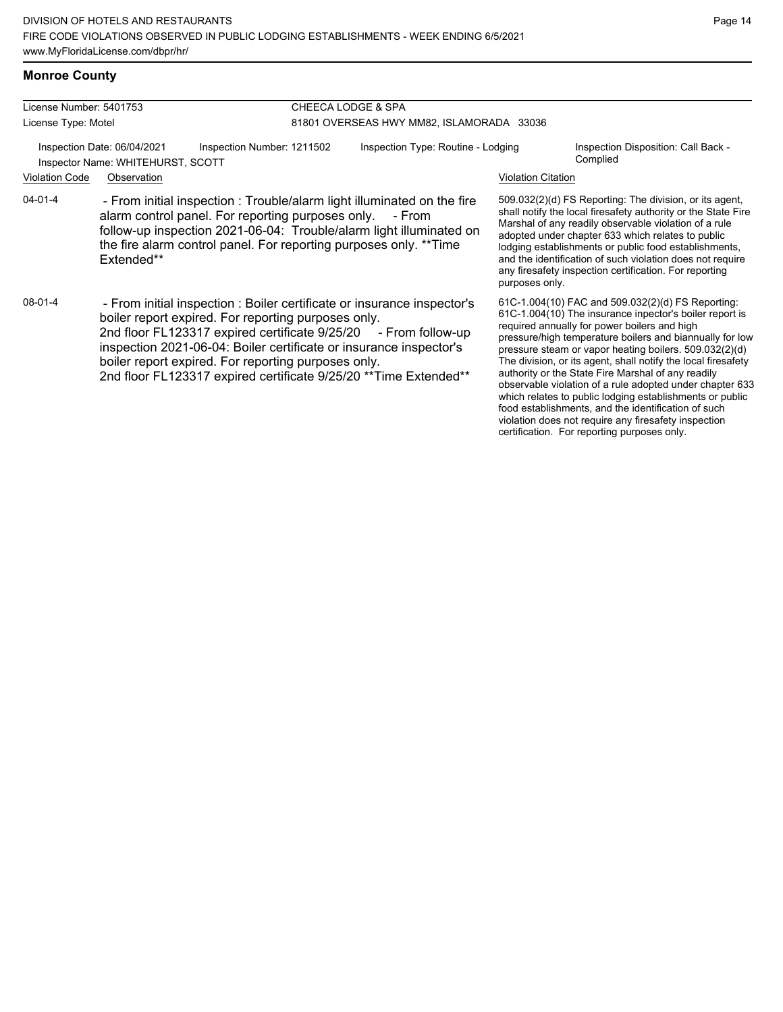### **Monroe County**

| License Number: 5401753<br>License Type: Motel |                                                                                                                                                                                                                                                                                                                                                                                                     | <b>CHEECA LODGE &amp; SPA</b><br>81801 OVERSEAS HWY MM82, ISLAMORADA 33036 |        |                                                                                                                                                                                                                                                                                                                                                                                                                                                                                                                                                                                                                                                  |                                                                                                                                                                                                                                                                                                                                                                                                                        |  |
|------------------------------------------------|-----------------------------------------------------------------------------------------------------------------------------------------------------------------------------------------------------------------------------------------------------------------------------------------------------------------------------------------------------------------------------------------------------|----------------------------------------------------------------------------|--------|--------------------------------------------------------------------------------------------------------------------------------------------------------------------------------------------------------------------------------------------------------------------------------------------------------------------------------------------------------------------------------------------------------------------------------------------------------------------------------------------------------------------------------------------------------------------------------------------------------------------------------------------------|------------------------------------------------------------------------------------------------------------------------------------------------------------------------------------------------------------------------------------------------------------------------------------------------------------------------------------------------------------------------------------------------------------------------|--|
|                                                | Inspection Date: 06/04/2021<br>Inspection Number: 1211502<br>Inspector Name: WHITEHURST, SCOTT                                                                                                                                                                                                                                                                                                      | Inspection Type: Routine - Lodging                                         |        |                                                                                                                                                                                                                                                                                                                                                                                                                                                                                                                                                                                                                                                  | Inspection Disposition: Call Back -<br>Complied                                                                                                                                                                                                                                                                                                                                                                        |  |
| <b>Violation Code</b>                          | Observation                                                                                                                                                                                                                                                                                                                                                                                         |                                                                            |        | <b>Violation Citation</b>                                                                                                                                                                                                                                                                                                                                                                                                                                                                                                                                                                                                                        |                                                                                                                                                                                                                                                                                                                                                                                                                        |  |
| 04-01-4                                        | - From initial inspection : Trouble/alarm light illuminated on the fire<br>alarm control panel. For reporting purposes only.<br>follow-up inspection 2021-06-04: Trouble/alarm light illuminated on<br>the fire alarm control panel. For reporting purposes only. **Time<br>Extended**                                                                                                              |                                                                            | - From | purposes only.                                                                                                                                                                                                                                                                                                                                                                                                                                                                                                                                                                                                                                   | 509.032(2)(d) FS Reporting: The division, or its agent,<br>shall notify the local firesafety authority or the State Fire<br>Marshal of any readily observable violation of a rule<br>adopted under chapter 633 which relates to public<br>lodging establishments or public food establishments,<br>and the identification of such violation does not require<br>any firesafety inspection certification. For reporting |  |
| 08-01-4                                        | - From initial inspection : Boiler certificate or insurance inspector's<br>boiler report expired. For reporting purposes only.<br>2nd floor FL123317 expired certificate 9/25/20 - From follow-up<br>inspection 2021-06-04: Boiler certificate or insurance inspector's<br>boiler report expired. For reporting purposes only.<br>2nd floor FL123317 expired certificate 9/25/20 ** Time Extended** |                                                                            |        | 61C-1.004(10) FAC and 509.032(2)(d) FS Reporting:<br>61C-1.004(10) The insurance inpector's boiler report is<br>required annually for power boilers and high<br>pressure/high temperature boilers and biannually for low<br>pressure steam or vapor heating boilers. 509.032(2)(d)<br>The division, or its agent, shall notify the local firesafety<br>authority or the State Fire Marshal of any readily<br>observable violation of a rule adopted under chapter 633<br>which relates to public lodging establishments or public<br>food establishments, and the identification of such<br>violation does not require any firesafety inspection |                                                                                                                                                                                                                                                                                                                                                                                                                        |  |

certification. For reporting purposes only.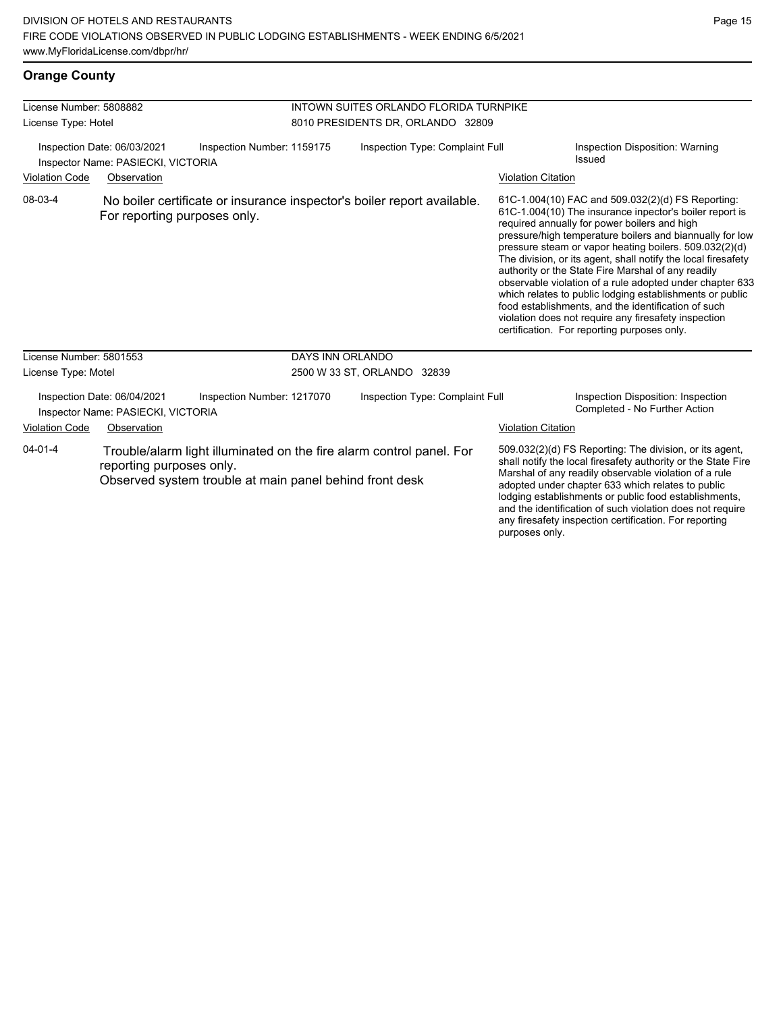### **Orange County**

| License Number: 5808882                                                                                                                 |                                                                   |                                                         |                                                                             |                                                                         |                                           |                                                                                                                                                                                                                                                                                                                                                                                                                                                                                                                                                                                                                                                                                                 |  |
|-----------------------------------------------------------------------------------------------------------------------------------------|-------------------------------------------------------------------|---------------------------------------------------------|-----------------------------------------------------------------------------|-------------------------------------------------------------------------|-------------------------------------------|-------------------------------------------------------------------------------------------------------------------------------------------------------------------------------------------------------------------------------------------------------------------------------------------------------------------------------------------------------------------------------------------------------------------------------------------------------------------------------------------------------------------------------------------------------------------------------------------------------------------------------------------------------------------------------------------------|--|
| License Type: Hotel                                                                                                                     |                                                                   |                                                         | INTOWN SUITES ORLANDO FLORIDA TURNPIKE<br>8010 PRESIDENTS DR, ORLANDO 32809 |                                                                         |                                           |                                                                                                                                                                                                                                                                                                                                                                                                                                                                                                                                                                                                                                                                                                 |  |
| Inspection Number: 1159175<br>Inspection Date: 06/03/2021<br>Inspector Name: PASIECKI, VICTORIA<br><b>Violation Code</b><br>Observation |                                                                   | Inspection Type: Complaint Full                         |                                                                             | <b>Violation Citation</b>                                               | Inspection Disposition: Warning<br>Issued |                                                                                                                                                                                                                                                                                                                                                                                                                                                                                                                                                                                                                                                                                                 |  |
| 08-03-4                                                                                                                                 | For reporting purposes only.                                      |                                                         |                                                                             | No boiler certificate or insurance inspector's boiler report available. |                                           | 61C-1.004(10) FAC and 509.032(2)(d) FS Reporting:<br>61C-1.004(10) The insurance inpector's boiler report is<br>required annually for power boilers and high<br>pressure/high temperature boilers and biannually for low<br>pressure steam or vapor heating boilers. 509.032(2)(d)<br>The division, or its agent, shall notify the local firesafety<br>authority or the State Fire Marshal of any readily<br>observable violation of a rule adopted under chapter 633<br>which relates to public lodging establishments or public<br>food establishments, and the identification of such<br>violation does not require any firesafety inspection<br>certification. For reporting purposes only. |  |
| License Number: 5801553                                                                                                                 |                                                                   |                                                         | <b>DAYS INN ORLANDO</b>                                                     |                                                                         |                                           |                                                                                                                                                                                                                                                                                                                                                                                                                                                                                                                                                                                                                                                                                                 |  |
| License Type: Motel                                                                                                                     |                                                                   |                                                         | 2500 W 33 ST, ORLANDO 32839                                                 |                                                                         |                                           |                                                                                                                                                                                                                                                                                                                                                                                                                                                                                                                                                                                                                                                                                                 |  |
|                                                                                                                                         | Inspection Date: 06/04/2021<br>Inspector Name: PASIECKI, VICTORIA | Inspection Number: 1217070                              |                                                                             | Inspection Type: Complaint Full                                         |                                           | Inspection Disposition: Inspection<br>Completed - No Further Action                                                                                                                                                                                                                                                                                                                                                                                                                                                                                                                                                                                                                             |  |
| <b>Violation Code</b>                                                                                                                   | Observation                                                       |                                                         |                                                                             |                                                                         | <b>Violation Citation</b>                 |                                                                                                                                                                                                                                                                                                                                                                                                                                                                                                                                                                                                                                                                                                 |  |
| $04 - 01 - 4$                                                                                                                           | reporting purposes only.                                          | Observed system trouble at main panel behind front desk |                                                                             | Trouble/alarm light illuminated on the fire alarm control panel. For    | purposes only.                            | 509.032(2)(d) FS Reporting: The division, or its agent,<br>shall notify the local firesafety authority or the State Fire<br>Marshal of any readily observable violation of a rule<br>adopted under chapter 633 which relates to public<br>lodging establishments or public food establishments,<br>and the identification of such violation does not require<br>any firesafety inspection certification. For reporting                                                                                                                                                                                                                                                                          |  |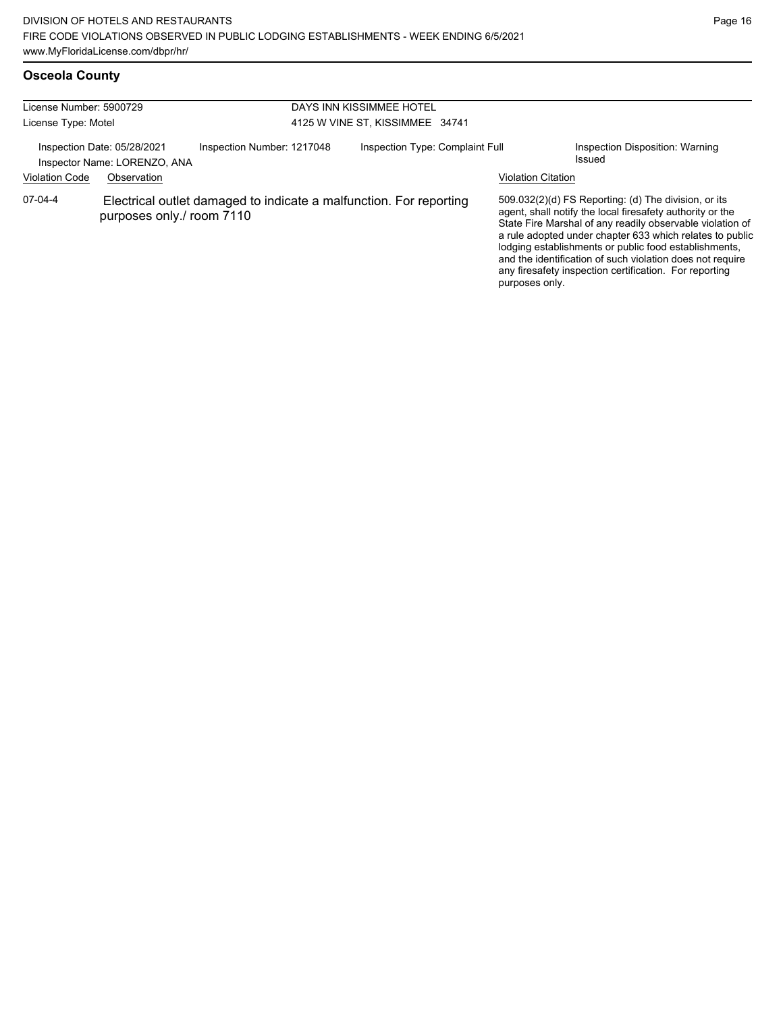#### **Osceola County**

| License Number: 5900729<br>License Type: Motel |                                                                            |                                                                    | DAYS INN KISSIMMEE HOTEL<br>4125 W VINE ST, KISSIMMEE 34741 |                                 |  |                           |                                                                                                                                                                                                                                                                                                                                                                                                                            |
|------------------------------------------------|----------------------------------------------------------------------------|--------------------------------------------------------------------|-------------------------------------------------------------|---------------------------------|--|---------------------------|----------------------------------------------------------------------------------------------------------------------------------------------------------------------------------------------------------------------------------------------------------------------------------------------------------------------------------------------------------------------------------------------------------------------------|
| <b>Violation Code</b>                          | Inspection Date: 05/28/2021<br>Inspector Name: LORENZO, ANA<br>Observation | Inspection Number: 1217048                                         |                                                             | Inspection Type: Complaint Full |  | <b>Violation Citation</b> | Inspection Disposition: Warning<br>Issued                                                                                                                                                                                                                                                                                                                                                                                  |
| 07-04-4                                        | purposes only./ room 7110                                                  | Electrical outlet damaged to indicate a malfunction. For reporting |                                                             |                                 |  | purposes only.            | 509.032(2)(d) FS Reporting: (d) The division, or its<br>agent, shall notify the local firesafety authority or the<br>State Fire Marshal of any readily observable violation of<br>a rule adopted under chapter 633 which relates to public<br>lodging establishments or public food establishments,<br>and the identification of such violation does not require<br>any firesafety inspection certification. For reporting |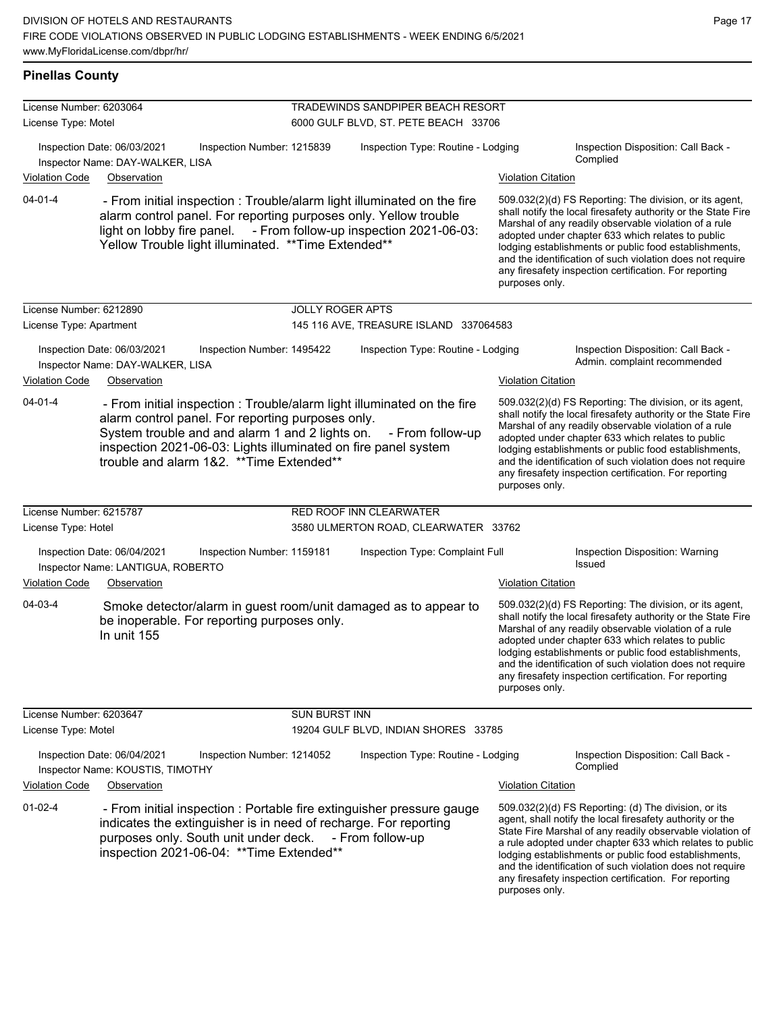**Pinellas County**

| License Number: 6203064 |                                                                                    |                                                                                                                                                                        | TRADEWINDS SANDPIPER BEACH RESORT                                                                                                             |                           |                                                                                                                                                                                                                                                                                                                                                                                                                            |
|-------------------------|------------------------------------------------------------------------------------|------------------------------------------------------------------------------------------------------------------------------------------------------------------------|-----------------------------------------------------------------------------------------------------------------------------------------------|---------------------------|----------------------------------------------------------------------------------------------------------------------------------------------------------------------------------------------------------------------------------------------------------------------------------------------------------------------------------------------------------------------------------------------------------------------------|
| License Type: Motel     |                                                                                    |                                                                                                                                                                        | 6000 GULF BLVD, ST. PETE BEACH 33706                                                                                                          |                           |                                                                                                                                                                                                                                                                                                                                                                                                                            |
|                         | Inspection Date: 06/03/2021<br>Inspector Name: DAY-WALKER, LISA                    | Inspection Number: 1215839                                                                                                                                             | Inspection Type: Routine - Lodging                                                                                                            |                           | Inspection Disposition: Call Back -<br>Complied                                                                                                                                                                                                                                                                                                                                                                            |
| <b>Violation Code</b>   | Observation                                                                        |                                                                                                                                                                        |                                                                                                                                               | <b>Violation Citation</b> |                                                                                                                                                                                                                                                                                                                                                                                                                            |
| $04 - 01 - 4$           |                                                                                    | alarm control panel. For reporting purposes only. Yellow trouble<br>Yellow Trouble light illuminated. ** Time Extended**                                               | - From initial inspection : Trouble/alarm light illuminated on the fire<br>light on lobby fire panel. - From follow-up inspection 2021-06-03: | purposes only.            | 509.032(2)(d) FS Reporting: The division, or its agent,<br>shall notify the local firesafety authority or the State Fire<br>Marshal of any readily observable violation of a rule<br>adopted under chapter 633 which relates to public<br>lodging establishments or public food establishments,<br>and the identification of such violation does not require<br>any firesafety inspection certification. For reporting     |
| License Number: 6212890 |                                                                                    | <b>JOLLY ROGER APTS</b>                                                                                                                                                |                                                                                                                                               |                           |                                                                                                                                                                                                                                                                                                                                                                                                                            |
| License Type: Apartment |                                                                                    |                                                                                                                                                                        | 145 116 AVE, TREASURE ISLAND 337064583                                                                                                        |                           |                                                                                                                                                                                                                                                                                                                                                                                                                            |
|                         | Inspection Date: 06/03/2021<br>Inspector Name: DAY-WALKER, LISA                    | Inspection Number: 1495422                                                                                                                                             | Inspection Type: Routine - Lodging                                                                                                            |                           | Inspection Disposition: Call Back -<br>Admin. complaint recommended                                                                                                                                                                                                                                                                                                                                                        |
| <b>Violation Code</b>   | Observation                                                                        |                                                                                                                                                                        |                                                                                                                                               | <b>Violation Citation</b> |                                                                                                                                                                                                                                                                                                                                                                                                                            |
| $04 - 01 - 4$           | trouble and alarm 1&2. ** Time Extended**                                          | alarm control panel. For reporting purposes only.<br>System trouble and and alarm 1 and 2 lights on.<br>inspection 2021-06-03: Lights illuminated on fire panel system | - From initial inspection : Trouble/alarm light illuminated on the fire<br>- From follow-up                                                   | purposes only.            | 509.032(2)(d) FS Reporting: The division, or its agent,<br>shall notify the local firesafety authority or the State Fire<br>Marshal of any readily observable violation of a rule<br>adopted under chapter 633 which relates to public<br>lodging establishments or public food establishments,<br>and the identification of such violation does not require<br>any firesafety inspection certification. For reporting     |
| License Number: 6215787 |                                                                                    |                                                                                                                                                                        | RED ROOF INN CLEARWATER                                                                                                                       |                           |                                                                                                                                                                                                                                                                                                                                                                                                                            |
| License Type: Hotel     |                                                                                    |                                                                                                                                                                        | 3580 ULMERTON ROAD, CLEARWATER 33762                                                                                                          |                           |                                                                                                                                                                                                                                                                                                                                                                                                                            |
|                         | Inspection Date: 06/04/2021<br>Inspector Name: LANTIGUA, ROBERTO                   | Inspection Number: 1159181                                                                                                                                             | Inspection Type: Complaint Full                                                                                                               |                           | Inspection Disposition: Warning<br>Issued                                                                                                                                                                                                                                                                                                                                                                                  |
| <b>Violation Code</b>   | Observation                                                                        |                                                                                                                                                                        |                                                                                                                                               | <b>Violation Citation</b> |                                                                                                                                                                                                                                                                                                                                                                                                                            |
| 04-03-4                 | be inoperable. For reporting purposes only.<br>In unit 155                         |                                                                                                                                                                        | Smoke detector/alarm in guest room/unit damaged as to appear to                                                                               | purposes only.            | 509.032(2)(d) FS Reporting: The division, or its agent,<br>shall notify the local firesafety authority or the State Fire<br>Marshal of any readily observable violation of a rule<br>adopted under chapter 633 which relates to public<br>lodging establishments or public food establishments,<br>and the identification of such violation does not require<br>any firesafety inspection certification. For reporting     |
| License Number: 6203647 |                                                                                    | <b>SUN BURST INN</b>                                                                                                                                                   |                                                                                                                                               |                           |                                                                                                                                                                                                                                                                                                                                                                                                                            |
| License Type: Motel     |                                                                                    |                                                                                                                                                                        | 19204 GULF BLVD, INDIAN SHORES 33785                                                                                                          |                           |                                                                                                                                                                                                                                                                                                                                                                                                                            |
|                         | Inspection Date: 06/04/2021<br>Inspector Name: KOUSTIS, TIMOTHY                    | Inspection Number: 1214052                                                                                                                                             | Inspection Type: Routine - Lodging                                                                                                            |                           | Inspection Disposition: Call Back -<br>Complied                                                                                                                                                                                                                                                                                                                                                                            |
| <b>Violation Code</b>   | Observation                                                                        |                                                                                                                                                                        |                                                                                                                                               | <b>Violation Citation</b> |                                                                                                                                                                                                                                                                                                                                                                                                                            |
| $01 - 02 - 4$           | purposes only. South unit under deck.<br>inspection 2021-06-04: ** Time Extended** | indicates the extinguisher is in need of recharge. For reporting                                                                                                       | - From initial inspection : Portable fire extinguisher pressure gauge<br>- From follow-up                                                     | purposes only.            | 509.032(2)(d) FS Reporting: (d) The division, or its<br>agent, shall notify the local firesafety authority or the<br>State Fire Marshal of any readily observable violation of<br>a rule adopted under chapter 633 which relates to public<br>lodging establishments or public food establishments,<br>and the identification of such violation does not require<br>any firesafety inspection certification. For reporting |